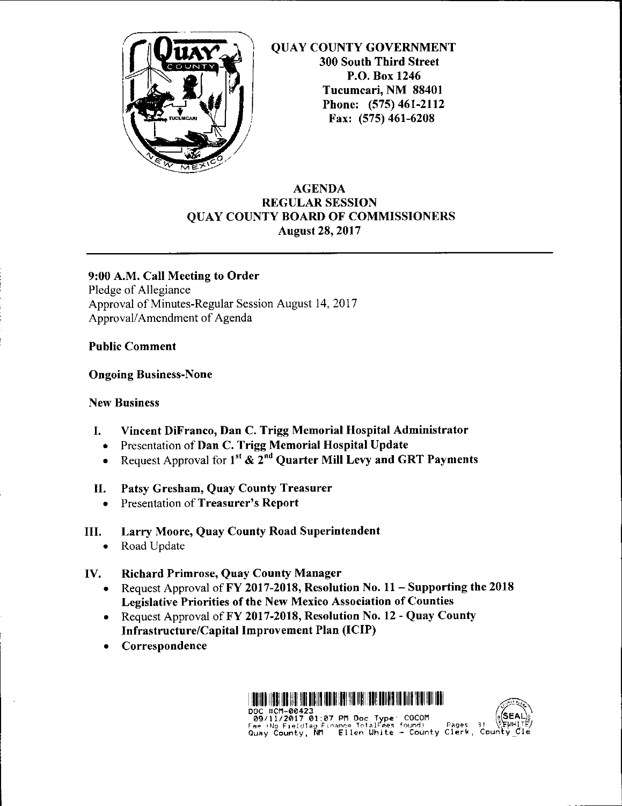

QUAY COUNTY GOVERNMENT 300 South Third Street P.O. Box 1246 Tucumcari, NM 88401 Phone: (575) 461-2112 Fax: (575) 461-6208

## AGENDA REGULAR SESSION QUAY COUNTY BOARD OF COMMISSIONERS August 28, 2017

## 9:00 A.M. Call Meeting to Order

Pledge of Allegiance Approval of Minutes-Regular Session August 14, 2017 Approval/ Amendment of Agenda

### Public Comment

### Ongoing Business-None

## New Business

- I. Vincent DiFranco, Dan C. Trigg Memorial Hospital Administrator
	- Presentation of Dan C. Trigg Memorial Hospital Update
	- Request Approval for  $1^{st}$  &  $2^{nd}$  Quarter Mill Levy and GRT Payments

## II. Patsy Gresham, Quay County Treasurer

- Presentation of Treasurer's Report
- III. Larry Moore, Quay County Road Superintendent
	- Road Update

## IV. Richard Primrose, Quay County Manager

- Request Approval of FY 2017-2018, Resolution No.  $11 -$  Supporting the 2018 Legislative Priorities of the New Mexico Association of Counties
- Request Approval of FY 2017-2018, Resolution No. 12 Quay County Infrastructure/Capital Improvement Plan (ICIP)
- **Correspondence**

ARA ITIR AARA KUN INEUM ADDIBA AHRA HARA U BAHA ADDIBAA HARA HARA HARA U BAHA HARA HID DOC #CM-00423<br>
09/11/2017 01:07 PM Doc Type: COCOM<br>
Fee (No FieldTag Finance TotalFees found) Pages<br>
Quay County, NM Ellen White - County Clerk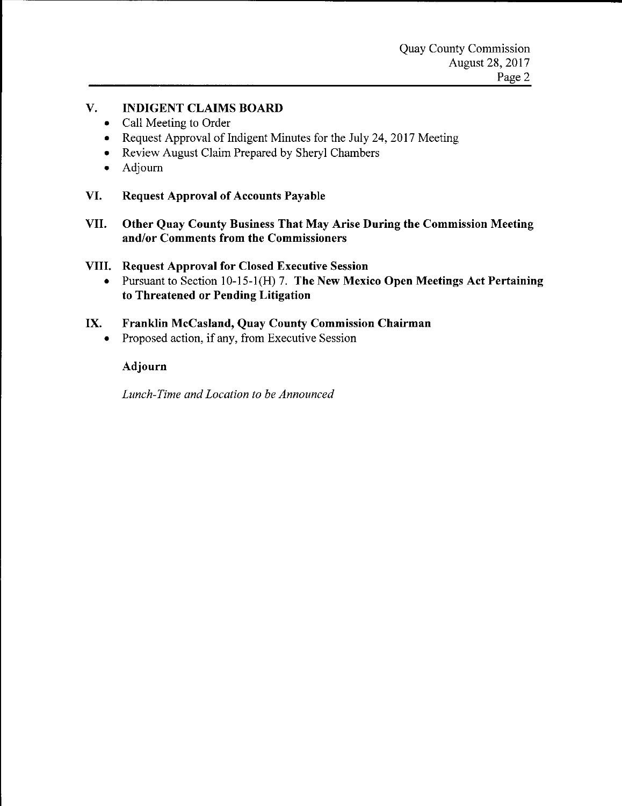## **V. INDIGENT CLAIMS BOARD**

- Call Meeting to Order
- Request Approval of Indigent Minutes for the July 24, 2017 Meeting
- Review August Claim Prepared by Sheryl Chambers
- Adjourn
- **VI. Request Approval of Accounts Payable**
- **VII. Other Quay County Business That May Arise During the Commission Meeting and/or Comments from the Commissioners**
- **VIII. Request Approval for Closed Executive Session** 
	- Pursuant to Section 10-15-l(H) 7. **The New Mexico Open Meetings Act Pertaining to Threatened or Pending Litigation**

## **IX. Franklin McCasland, Quay County Commission Chairman**

• Proposed action, if any, from Executive Session

## **Adjourn**

*Lunch-Time and Location to be Announced*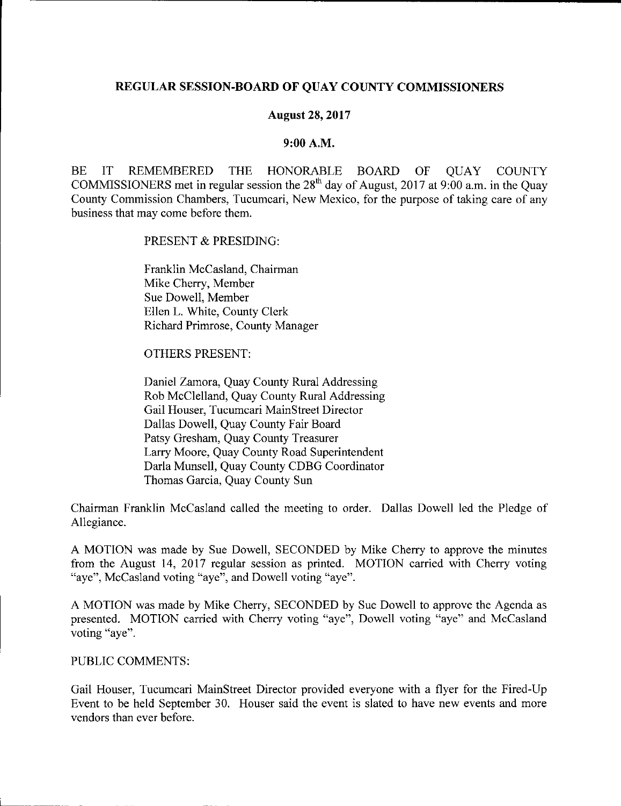## **REGULAR SESSION-BOARD OF QUAY COUNTY COMMISSIONERS**

### **August 28, 2017**

#### **9:00A.M.**

BE IT REMEMBERED THE HONORABLE BOARD OF OUAY COUNTY COMMISSIONERS met in regular session the 28<sup>th</sup> day of August, 2017 at 9:00 a.m. in the Ouay County Commission Chambers, Tucumcari, New Mexico, for the purpose of taking care of any business that may come before them.

PRESENT & PRESIDING:

Franklin Mccasland, Chairman Mike Cherry, Member Sue Dowell, Member Ellen L. White, County Clerk Richard Primrose, County Manager

OTHERS PRESENT:

Daniel Zamora, Quay County Rural Addressing Rob McClelland, Quay County Rural Addressing Gail Houser, Tucumcari MainStreet Director Dallas Dowell, Quay County Fair Board Patsy Gresham, Quay County Treasurer Larry Moore, Quay County Road Superintendent Darla Munsell, Quay County CDBG Coordinator Thomas Garcia, Quay County Sun

Chairman Franklin McCasland called the meeting to order. Dallas Dowell led the Pledge of Allegiance.

A MOTION was made by Sue Dowell, SECONDED by Mike Cherry to approve the minutes from the August 14, 2017 regular session as printed. MOTION carried with Cherry voting "aye", McCasland voting "aye", and Dowell voting "aye".

A MOTION was made by Mike Cherry, SECONDED by Sue Dowell to approve the Agenda as presented. MOTION carried with Cherry voting "aye", Dowell voting "aye" and McCasland **voting "aye".** 

## PUBLIC COMMENTS:

 $\mathcal{L}_\text{L}$ 

Gail Houser, Tucumcari MainStreet Director provided everyone with a flyer for the Fired-Up Event to be held September 30. Houser said the event is slated to have new events and more vendors than ever before.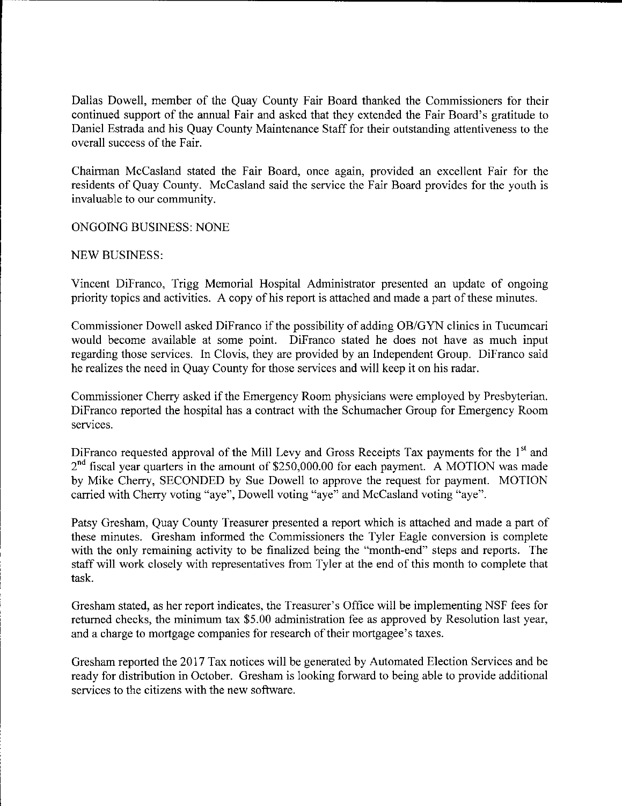Dallas Dowell, member of the Quay County Fair Board thanked the Commissioners for their continued support of the annual Fair and asked that they extended the Fair Board's gratitude to Daniel Estrada and his Quay County Maintenance Staff for their outstanding attentiveness to the overall success of the Fair.

Chairman McCasland stated the Fair Board, once again, provided an excellent Fair for the residents of Quay County. McCasland said the service the Fair Board provides for the youth is invaluable to our community.

ONGOING BUSINESS: NONE

### NEW BUSINESS:

Vincent Difranco, Trigg Memorial Hospital Administrator presented an update of ongoing priority topics and activities. A copy of his report is attached and made a part of these minutes.

Commissioner Dowell asked Difranco if the possibility of adding OB/GYN clinics in Tucumcari would become available at some point. Difranco stated he does not have as much input regarding those services. In Clovis, they are provided by an Independent Group. Difranco said he realizes the need in Quay County for those services and will keep it on his radar.

Commissioner Cherry asked if the Emergency Room physicians were employed by Presbyterian. Difranco reported the hospital has a contract with the Schumacher Group for Emergency Room services.

Diffranco requested approval of the Mill Levy and Gross Receipts Tax payments for the  $1<sup>st</sup>$  and  $2<sup>nd</sup>$  fiscal year quarters in the amount of \$250,000.00 for each payment. A MOTION was made by Mike Cherry, SECONDED by Sue Dowell to approve the request for payment. MOTION carried with Cherry voting "aye", Dowell voting "aye" and McCasland voting "aye".

Patsy Gresham, Quay County Treasurer presented a report which is attached and made a part of these minutes. Gresham informed the Commissioners the Tyler Eagle conversion is complete with the only remaining activity to be finalized being the "month-end" steps and reports. The staff will work closely with representatives from Tyler at the end of this month to complete that task.

Gresham stated, as her report indicates, the Treasurer's Office will be implementing NSF fees for returned checks, the minimum tax \$5.00 administration fee as approved by Resolution last year, and a charge to mortgage companies for research of their mortgagee's taxes.

Gresham reported the 2017 Tax notices will be generated by Automated Election Services and be ready for distribution in October. Gresham is looking forward to being able to provide additional services to the citizens with the new software.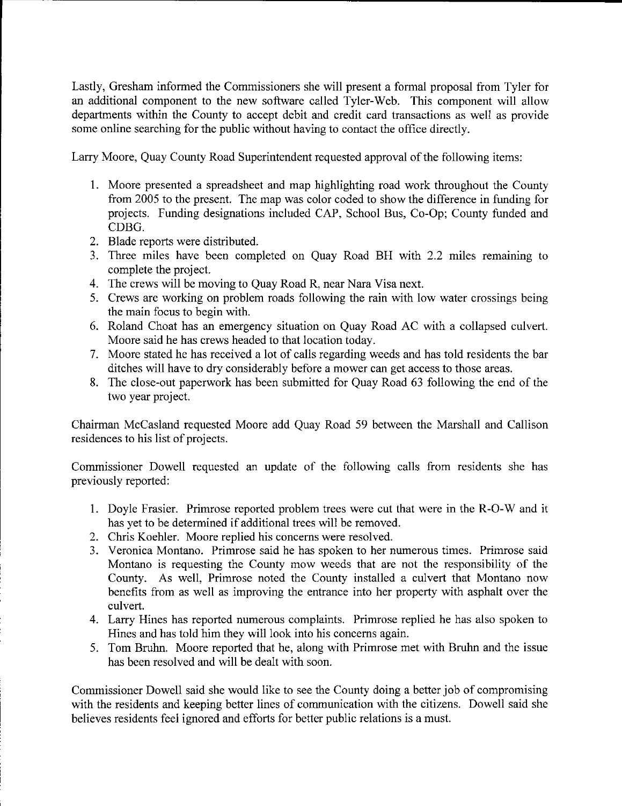Lastly, Gresham informed the Commissioners she will present a formal proposal from Tyler for an additional component to the new software called Tyler-Web. This component will allow departments within the County to accept debit and credit card transactions as well as provide some online searching for the public without having to contact the office directly.

Larry Moore, Quay County Road Superintendent requested approval of the following items:

- I. Moore presented a spreadsheet and map highlighting road work throughout the County from 2005 to the present. The map was color coded to show the difference in funding for projects. Funding designations included CAP, School Bus, Co-Op; County funded and CDBG.
- 2. Blade reports were distributed.

L.

- 3. Three miles have been completed on Quay Road BH with 2.2 miles remaining to complete the project.
- 4. The crews will be moving to Quay Road R, near Nara Visa next.
- 5. Crews are working on problem roads following the rain with low water crossings being the main focus to begin with.
- 6. Roland Choat has an emergency situation on Quay Road AC with a collapsed culvert. Moore said he has crews headed to that location today.
- 7. Moore stated he has received a lot of calls regarding weeds and has told residents the bar ditches will have to dry considerably before a mower can get access to those areas.
- 8. The close-out paperwork has been submitted for Quay Road 63 following the end of the two year project.

Chairman Mccasland requested Moore add Quay Road 59 between the Marshall and Callison residences to his list of projects.

Commissioner Dowell requested an update of the following calls from residents she has previously reported:

- I. Doyle Frasier. Primrose reported problem trees were cut that were in the R-0-W and it has yet to be determined if additional trees will be removed.
- 2. Chris Koehler. Moore replied his concerns were resolved.
- 3. Veronica Montano. Primrose said he has spoken to her numerous times. Primrose said Montano is requesting the County mow weeds that are not the responsibility of the County. As well, Primrose noted the County installed a culvert that Montano now benefits from as well as improving the entrance into her property with asphalt over the culvert.
- 4. Larry Hines has reported numerous complaints. Primrose replied he has also spoken to Hines and has told him they will look into his concerns again.
- 5. Tom Bruhn. Moore reported that he, along with Primrose met with Bruhn and the issue has been resolved and will be dealt with soon.

Commissioner Dowell said she would like to see the County doing a better job of compromising with the residents and keeping better lines of communication with the citizens. Dowell said she believes residents feel ignored and efforts for better public relations is a must.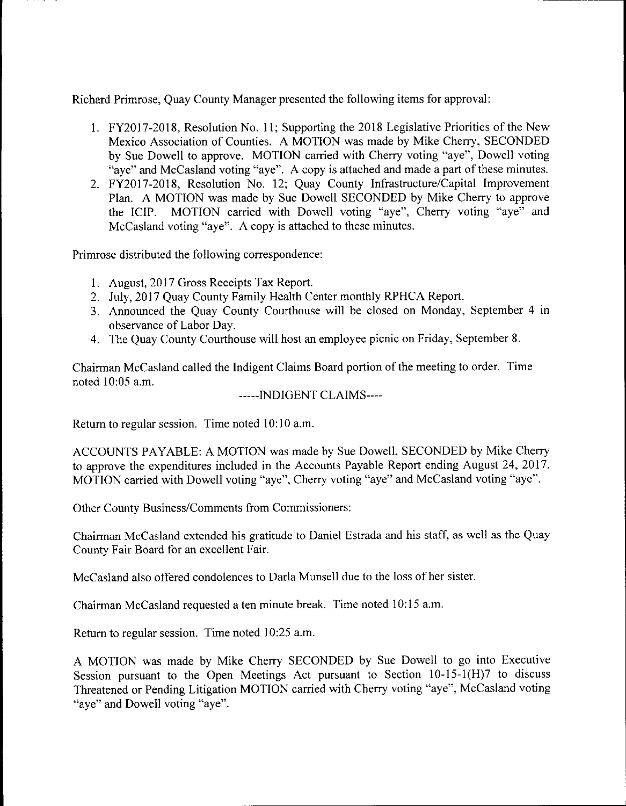Richard Primrose, Quay County Manager presented the following items for approval:

- I. FY2017-2018, Resolution No. 11; Supporting the 2018 Legislative Priorities of the New Mexico Association of Counties. A MOTION was made by Mike Cherry, SECONDED by Sue Dowell to approve. MOTION carried with Cherry voting "aye", Dowell voting "aye" and McCasland voting "aye". A copy is attached and made a part of these minutes.
- 2. FY2017-2018, Resolution No. 12; Quay County Infrastructure/Capital Improvement Plan. A MOTION was made by Sue Dowell SECONDED by Mike Cherry to approve the ICIP. MOTION carried with Dowell voting "aye", Cherry voting "aye" and McCasland voting "aye". A copy is attached to these minutes.

Primrose distributed the following correspondence:

- 1. August, 2017 Gross Receipts Tax Report.
- 2. July, 2017 Quay County Family Health Center monthly RPHCA Report.
- 3. Announced the Quay County Courthouse will be closed on Monday, September 4 in observance of Labor Day.
- 4. The Quay County Courthouse will host an employee picnic on Friday, September 8.

Chairman McCasland called the Indigent Claims Board portion of the meeting to order. Time noted 10:05 a.m.

-----INDIGENT CLAIMS----

Return to regular session. Time noted 10:10 a.m.

ACCOUNTS PAY ABLE: A MOTION was made by Sue Dowell, SECONDED by Mike Cherry to approve the expenditures included in the Accounts Payable Report ending August 24, 2017. MOTION carried with Dowell voting "aye", Cherry voting "aye" and McCasland voting "aye".

Other County Business/Comments from Commissioners:

Chairman McCasland extended his gratitude to Daniel Estrada and his staff, as well as the Quay County Fair Board for an excellent Fair.

McCasland also offered condolences to Darla Munsell due to the loss of her sister.

Chairman McCasland requested a ten minute break. Time noted 10:15 a.m.

Return to regular session. Time noted 10:25 a.m.

A MOTION was made by Mike Cherry SECONDED by Sue Dowell to go into Executive Session pursuant to the Open Meetings Act pursuant to Section 10-15-1(H)7 to discuss Threatened or Pending Litigation MOTION carried with Cherry voting "aye", Mccasland voting "aye" and Dowell voting "aye".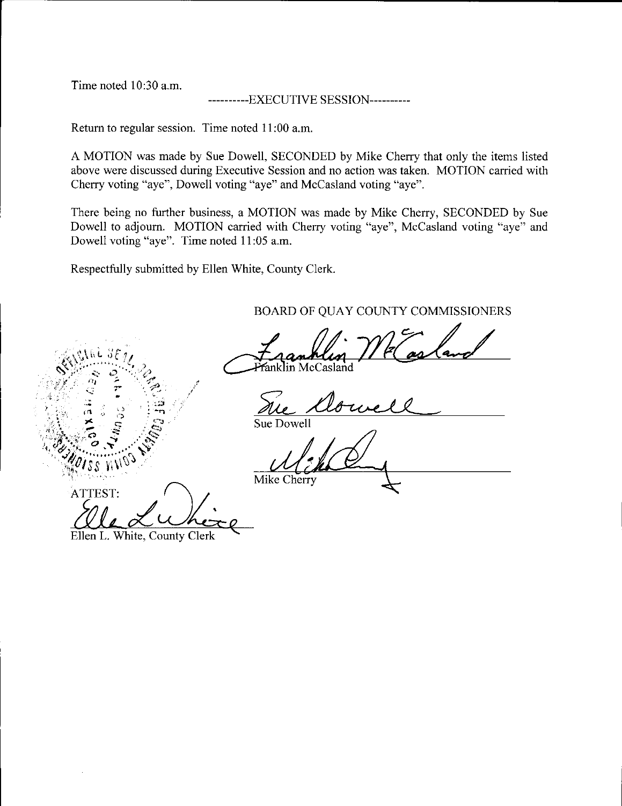Time noted 10:30 a.m.

### ------EXECUTIVE SESSION-----------

Return to regular session. Time noted 11 :00 a.m.

A MOTION was made by Sue Dowell, SECONDED by Mike Cherry that only the items listed above were discussed during Executive Session and no action was taken. MOTION carried with Cherry voting "aye", Dowell voting "aye" and Mccasland voting "aye".

There being no further business, a MOTION was made by Mike Cherry, SECONDED by Sue Dowell to adjourn. MOTION carried with Cherry voting "aye", McCasland voting "aye" and Dowell voting "aye". Time noted 11 :05 a.m.

Respectfully submitted by Ellen White, County Clerk.

/

BOARD OF QUAY COUNTY COMMISSIONERS

Franklin We Casland

Sue A

Mike Cherry

PISS WNOS<br>ATTEST:<br>Elle Ludie Ellen L. White, County Clerk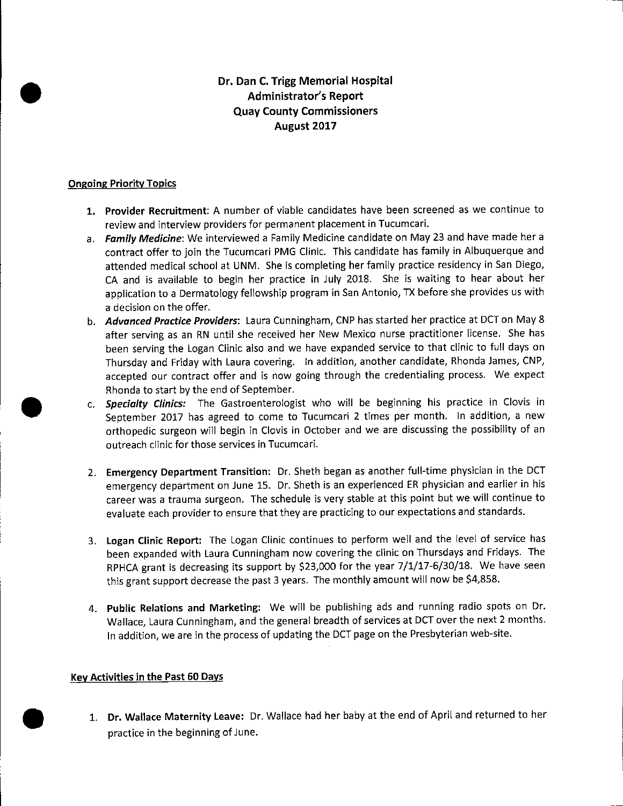## **Dr. Dan C. Trigg Memorial Hospital Administrator's Report Quay County Commissioners August 2017**

### **Ongoing Priority Topics**

•

•

•

- **1. Provider Recruitment:** A number of viable candidates have been screened as we continue to review and interview providers for permanent placement in Tucumcari.
- a. **Family Medicine:** We interviewed a Family Medicine candidate on May 23 and have made her a contract offer to join the Tucumcari PMG Clinic. This candidate has family in Albuquerque and attended medical school at UNM. She is completing her family practice residency in San Diego, CA and is available to begin her practice in July 2018. She is waiting to hear about her application to a Dermatology fellowship program in San Antonio, TX before she provides us with a decision on the offer.
- b. **Advanced Practice Providers:** Laura Cunningham, CNP has started her practice at DCT on May 8 after serving as an RN until she received her New Mexico nurse practitioner license. She has been serving the Logan Clinic also and we have expanded service to that clinic to full days on Thursday and Friday with Laura covering. In addition, another candidate, Rhonda James, CNP, accepted our contract offer and is now going through the credentialing process. We expect Rhonda to start by the end of September .
- c. **Specialty Clinics:** The Gastroenterologist who will be beginning his practice in Clovis in September 2017 has agreed to come to Tucumcari 2 times per month. In addition, a new orthopedic surgeon will begin in Clovis in October and we are discussing the possibility of an outreach clinic for those services in Tucumcari.
- 2. **Emergency Department Transition:** Dr. Sheth began as another full-time physician in the DCT emergency department on June 15. Dr. Sheth is an experienced ER physician and earlier in his career was a trauma surgeon. The schedule is very stable at this point but we will continue to evaluate each provider to ensure that they are practicing to our expectations and standards.
- 3. **Logan Clinic Report:** The Logan Clinic continues to perform well and the level of service has been expanded with Laura Cunningham now covering the clinic on Thursdays and Fridays. The RPHCA grant is decreasing its support by \$23,000 for the year 7/1/17-6/30/18. We have seen this grant support decrease the past 3 years. The monthly amount will now be \$4,858.
- 4. **Public Relations and Marketing:** We will be publishing ads and running radio spots on Dr. Wallace, Laura Cunningham, and the general breadth of services at DCT over the next 2 months. In addition, we are in the process of updating the DCT page on the Presbyterian web-site.

### **Key Activities in the Past 60 Days**

1. **Dr. Wallace Maternity Leave:** Dr. Wallace had her baby at the end of April and returned to her practice in the beginning of June.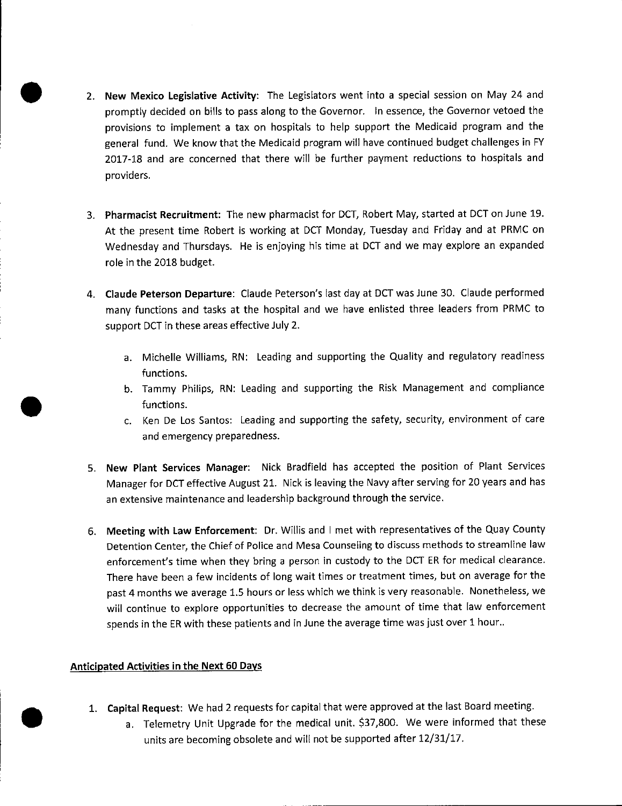- 2. **New Mexico Legislative Activity:** The Legislators went into a special session on May 24 and promptly decided on bills to pass along to the Governor. In essence, the Governor vetoed the provisions to implement a tax on hospitals to help support the Medicaid program and the general fund. We know that the Medicaid program will have continued budget challenges in FY 2017-18 and are concerned that there will be further payment reductions to hospitals and providers.
- 3. **Pharmacist Recruitment:** The new pharmacist for DCT, Robert May, started at DCT on June 19. At the present time Robert is working at DCT Monday, Tuesday and Friday and at PRMC on Wednesday and Thursdays. He is enjoying his time at DCT and we may explore an expanded role in the 2018 budget.
- **4. Claude Peterson Departure:** Claude Peterson's last day at DCT was June 30. Claude performed many functions and tasks at the hospital and we have enlisted three leaders from PRMC to support DCT in these areas effective July 2.
	- a. Michelle Williams, RN: Leading and supporting the Quality and regulatory readiness functions.
	- b. Tammy Philips, RN: Leading and supporting the Risk Management and compliance functions.
	- c. Ken De Los Santos: Leading and supporting the safety, security, environment of care and emergency preparedness.
- 5. **New Plant Services Manager:** Nick Bradfield has accepted the position of Plant Services Manager for DCT effective August 21. Nick is leaving the Navy after serving for 20 years and has an extensive maintenance and leadership background through the service.
- 6. **Meeting with Law Enforcement:** Dr. Willis and I met with representatives of the Quay County Detention Center, the Chief of Police and Mesa Counseling to discuss methods to streamline law enforcement's time when they bring a person in custody to the DCT ER for medical clearance. There have been a few incidents of long wait times or treatment times, but on average for the past 4 months we average 1.5 hours or less which we think is very reasonable. Nonetheless, we will continue to explore opportunities to decrease the amount of time that law enforcement spends in the ER with these patients and in June the average time was just over 1 hour..

### **Anticipated Activities in the Next 60 Days**

•

•

- **1. Capital Request:** We had 2 requests for capital that were approved at the last Board meeting .
	- a. Telemetry Unit Upgrade for the medical unit. \$37,800. We were informed that these units are becoming obsolete and will not be supported after 12/31/17.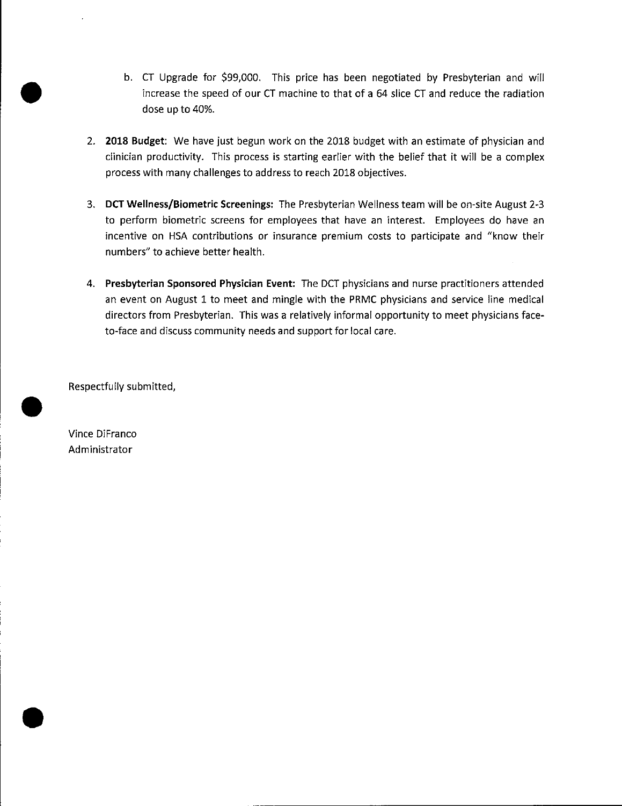- b. CT Upgrade for \$99,000. This price has been negotiated by Presbyterian and will increase the speed of our CT machine to that of a 64 slice CT and reduce the radiation dose up to 40%.
- 2. **2018 Budget:** We have just begun work on the 2018 budget with an estimate of physician and clinician productivity. This process is starting earlier with the belief that it will be a complex process with many challenges to address to reach 2018 objectives.
- 3. **DCT Wellness/Biometric Screenings:** The Presbyterian Wellness team will be on-site August 2-3 to perform biometric screens for employees that have an interest. Employees do have an incentive on HSA contributions or insurance premium costs to participate and "know their numbers" to achieve better health.
- 4. **Presbyterian Sponsored Physician Event:** The DCT physicians and nurse practitioners attended an event on August 1 to meet and mingle with the PRMC physicians and service line medical directors from Presbyterian. This was a relatively informal opportunity to meet physicians faceto-face and discuss community needs and support for local care.

Respectfully submitted,

Vince DiFranco Administrator

•

•

•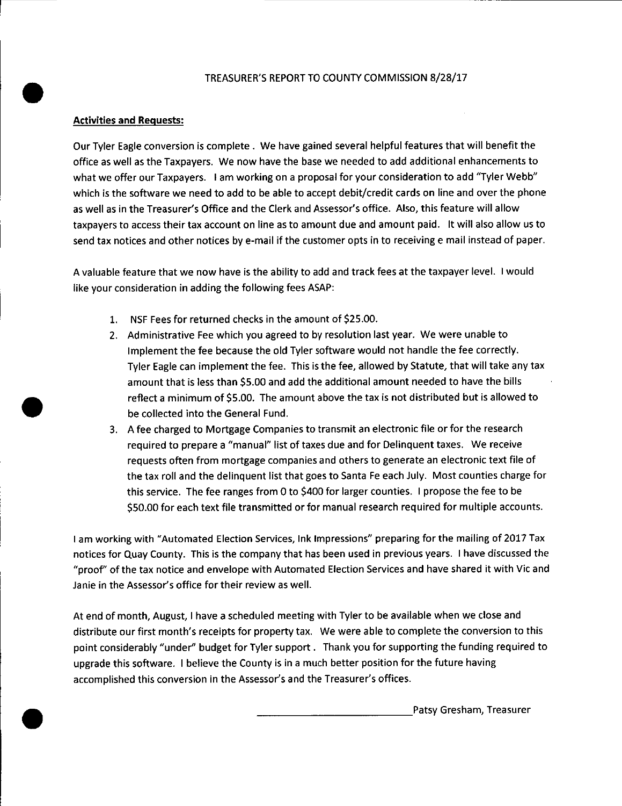#### TREASURER'S REPORT TO COUNTY COMMISSION 8/28/17

### **Activities and Requests:**

•

•

•

Our Tyler Eagle conversion is complete . We have gained several helpful features that will benefit the office as well as the Taxpayers. We now have the base we needed to add additional enhancements to what we offer our Taxpayers. I am working on a proposal for your consideration to add "Tyler Webb" which is the software we need to add to be able to accept debit/credit cards on line and over the phone as well as in the Treasurer's Office and the Clerk and Assessor's office. Also, this feature will allow taxpayers to access their tax account on line as to amount due and amount paid. It will also allow us to send tax notices and other notices by e-mail if the customer opts in to receiving e mail instead of paper.

A valuable feature that we now have is the ability to add and track fees at the taxpayer level. I would like your consideration in adding the following fees ASAP:

- 1. NSF Fees for returned checks in the amount of \$25.00.
- 2. Administrative Fee which you agreed to by resolution last year. We were unable to Implement the fee because the old Tyler software would not handle the fee correctly. Tyler Eagle can implement the fee. This is the fee, allowed by Statute, that will take any tax amount that is less than \$5.00 and add the additional amount needed to have the bills reflect a minimum of \$5.00. The amount above the tax is not distributed but is allowed to be collected into the General Fund.
- 3. A fee charged to Mortgage Companies to transmit an electronic file or for the research required to prepare a "manual" list of taxes due and for Delinquent taxes. We receive requests often from mortgage companies and others to generate an electronic text file of the tax roll and the delinquent list that goes to Santa Fe each July. Most counties charge for this service. The fee ranges from 0 to \$400 for larger counties. I propose the fee to be \$50.00 for each text file transmitted or for manual research required for multiple accounts.

I am working with "Automated Election Services, Ink Impressions" preparing for the mailing of 2017 Tax notices for Quay County. This is the company that has been used in previous years. I have discussed the "proof' of the tax notice and envelope with Automated Election Services and have shared it with Vic and Janie in the Assessor's office for their review as well.

At end of month, August, I have a scheduled meeting with Tyler to be available when we close and distribute our first month's receipts for property tax. We were able to complete the conversion to this point considerably "under" budget for Tyler support . Thank you for supporting the funding required to upgrade this software. I believe the County is in a much better position for the future having accomplished this conversion in the Assessor's and the Treasurer's offices.

Patsy Gresham, Treasurer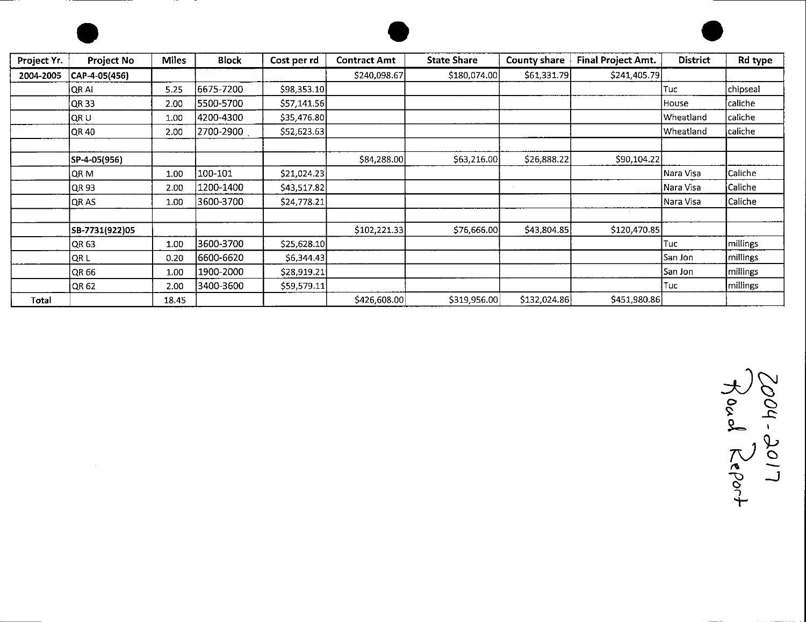





| Project Yr. | Project No     | <b>Miles</b> | <b>Block</b> | Cost per rd  | <b>Contract Amt</b> | <b>State Share</b> | <b>County share</b> | Final Project Amt. | <b>District</b> | Rd type          |
|-------------|----------------|--------------|--------------|--------------|---------------------|--------------------|---------------------|--------------------|-----------------|------------------|
| 2004-2005   | CAP-4-05(456)  |              |              |              | \$240,098.67        | \$180,074.00       | \$61,331.79         | \$241,405.79       |                 |                  |
|             | QR AI          | 5.25         | 6675-7200    | \$98,353.10  |                     |                    |                     |                    | Tuc             | chipseal         |
|             | QR 33          | 2.00         | 5500-5700    | \$57,141.56  |                     |                    |                     |                    | House           | caliche          |
|             | QRU            | 1.00         | 4200-4300    | \$35,476.80  |                     |                    |                     |                    | Wheatland       | $ $ caliche      |
|             | QR 40          | 2.00         | 2700-2900    | \$52,623.63  |                     |                    |                     |                    | Wheatland       | caliche          |
|             |                |              |              |              |                     |                    |                     |                    |                 |                  |
|             | SP-4-05(956)   |              |              |              | \$84,288.00         | \$63,216.00        | \$26,888.22         | \$90,104.22        |                 |                  |
|             | QR M           | 1.00         | 100-101      | \$21,024.23  |                     |                    |                     |                    | Nara Visa       | Caliche          |
|             | QR 93          | 2.00         | 1200-1400    | \$43,517.82  |                     |                    |                     |                    | Nara Visa       | <b>Caliche</b>   |
|             | QR AS          | 1.00         | 3600-3700    | \$24,778.21  |                     |                    |                     |                    | Nara Visa       | Caliche          |
|             |                |              |              |              |                     |                    |                     | $\sim 10^{-1}$     |                 |                  |
|             | SB-7731(922)05 |              |              |              | \$102,221.33        | \$76,666.00        | \$43,804.85         | \$120,470.85       |                 |                  |
|             | QR63           | 1.00         | 3600-3700    | \$25,628.10  |                     |                    |                     |                    | Tuc             | millings         |
|             | QR L           | 0.20         | 6600-6620    | 56,344.43    |                     |                    |                     |                    | San Jon         | <i>Imillings</i> |
|             | QR 66          | 1.00         | 1900-2000    | \$28,919.21  |                     |                    |                     |                    | San Jon         | millings         |
|             | QR 62          | 2.00         | 3400-3600    | \$59,579.11] |                     |                    |                     |                    | Tuc             | millings         |
| Total       |                | 18.45        |              |              | \$426,608.00        | \$319,956.00       | \$132,024.86        | \$451,980.86       |                 |                  |

 $34$ **0 c::,** <sup>~</sup>**...c::** ~ 7V~ \) " **\_\_J** - **<sup>C</sup>** ..., "t-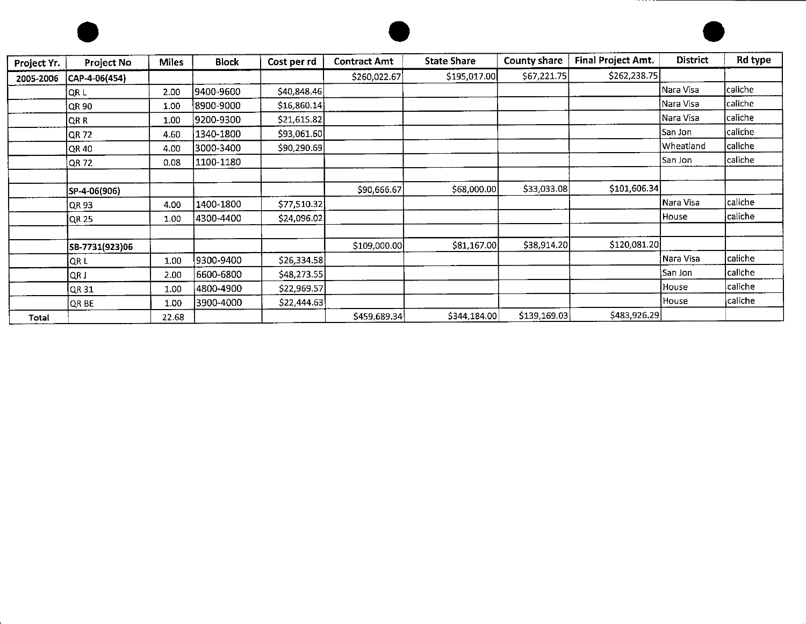





| Project Yr. | <b>Project No</b> | <b>Miles</b> | <b>Block</b> | Cost per rd  | <b>Contract Amt</b> | <b>State Share</b> | <b>County share</b> | Final Project Amt. | <b>District</b> | Rd type         |
|-------------|-------------------|--------------|--------------|--------------|---------------------|--------------------|---------------------|--------------------|-----------------|-----------------|
| 2005-2006   | CAP-4-06(454)     |              |              |              | \$260,022.67        | \$195,017.00       | \$67,221.75         | \$262,238.75       |                 |                 |
|             | QR L              | 2.00         | 9400-9600    | \$40,848.46  |                     |                    |                     |                    | Nara Visa       | caliche         |
|             | QR 90             | 1.00         | 8900-9000    | \$16,860.14] |                     |                    |                     |                    | Nara Visa       | lcaliche        |
|             | QR R              | 1.00         | 9200-9300    | \$21,615.82  |                     |                    |                     |                    | Nara Visa       | caliche         |
|             | QR 72             | 4.60         | 1340-1800    | \$93,061.60  |                     |                    |                     |                    | San Jon         | $\sf c}$ aliche |
|             | QR 40             | 4.00         | 3000-3400    | \$90,290.69  |                     |                    |                     |                    | Wheatland       | caliche         |
|             | <b>QR72</b>       | 0.08         | 1100-1180    |              |                     |                    |                     |                    | San Jon         | caliche         |
|             |                   |              |              |              |                     |                    |                     |                    |                 |                 |
|             | SP-4-06(906)      |              |              |              | \$90,666.67         | \$68,000.00        | \$33,033.08         | \$101,606.34       |                 |                 |
|             | IQR 93            | 4.00         | 1400-1800    | \$77,510.32  |                     |                    |                     |                    | Nara Visa       | caliche         |
|             | <b>QR 25</b>      | 1.00         | 4300-4400    | \$24,096.02  |                     |                    |                     |                    | House           | caliche         |
|             |                   |              |              |              |                     |                    |                     |                    |                 |                 |
|             | SB-7731(923)06    |              |              |              | \$109,000.00        | \$81,167.00        | \$38,914.20         | \$120,081.20       |                 |                 |
|             | <b>OR L</b>       | 1.00         | 9300-9400    | \$26,334.58  |                     |                    |                     |                    | Nara Visa       | caliche         |
|             | QR J              | 2.00         | 6600-6800    | \$48,273.55  |                     |                    |                     |                    | lSan Jon        | caliche         |
|             | QR31              | 1.00         | 4800-4900    | \$22,969.57  |                     |                    |                     |                    | House           | caliche         |
|             | OR BE             | 1.00         | 3900-4000    | \$22,444.63  |                     |                    |                     |                    | House           | caliche         |
| Total       |                   | 22.68        |              |              | \$459,689.34        | \$344,184.00       | \$139,169.03        | \$483,926.29       |                 |                 |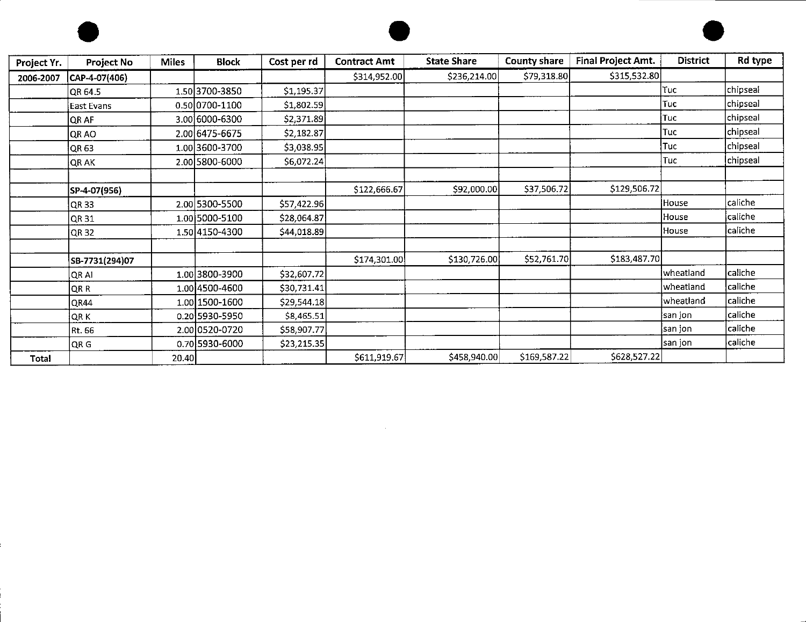





| Project Yr. | <b>Project No</b> | <b>Miles</b> | <b>Block</b>   | Cost per rd | <b>Contract Amt</b> | <b>State Share</b> | <b>County share</b> | Final Project Amt. | <b>District</b> | Rd type  |
|-------------|-------------------|--------------|----------------|-------------|---------------------|--------------------|---------------------|--------------------|-----------------|----------|
| 2006-2007   | CAP-4-07(406)     |              |                |             | \$314,952.00        | \$236,214.00       | \$79,318.80         | \$315,532.80       |                 |          |
|             | QR 64.5           |              | 1.50 3700-3850 | \$1,195.37  |                     |                    |                     |                    | Tuc             | chipseal |
|             | <b>East Evans</b> |              | 0.50 0700-1100 | \$1,802.59  |                     |                    |                     |                    | Tuc             | chipseal |
|             | <b>OR AF</b>      |              | 3.00 6000-6300 | \$2,371.89  |                     |                    |                     |                    | lTuc.           | chipseal |
|             | QR AO             |              | 2.00 6475-6675 | \$2,182.87  |                     |                    |                     |                    | Tuc             | chipseal |
|             | QR 63             |              | 1.00 3600-3700 | \$3,038.95  |                     |                    |                     |                    | Tuc             | chipseal |
|             | QR AK             |              | 2.00 5800-6000 | \$6,072.24  |                     |                    |                     |                    | Tuc             | chipseal |
|             |                   |              |                |             |                     |                    |                     |                    |                 |          |
|             | SP-4-07(956)      |              |                |             | \$122,666.67        | \$92,000.00        | \$37,506.72         | \$129,506.72       |                 |          |
|             | QR 33             |              | 2.00 5300-5500 | \$57,422.96 |                     |                    |                     |                    | House           | caliche  |
|             | QR 31             |              | 1.00 5000-5100 | \$28,064.87 |                     |                    |                     |                    | House           | caliche  |
|             | QR 32             |              | 1.50 4150-4300 | \$44,018.89 |                     |                    |                     |                    | House           | lcaliche |
|             |                   |              |                |             |                     |                    |                     |                    |                 |          |
|             | SB-7731(294)07    |              |                |             | \$174,301.00        | \$130,726.00       | \$52,761.70         | \$183,487.70       |                 |          |
|             | QR AI             |              | 1.00 3800-3900 | \$32,607.72 |                     |                    |                     |                    | wheatland       | caliche  |
|             | QR R              |              | 1.00 4500-4600 | \$30,731.41 |                     |                    |                     |                    | wheatland       | caliche  |
|             | QR44              |              | 1.00 1500-1600 | \$29,544.18 |                     |                    |                     |                    | wheatland       | caliche  |
|             | QR K              |              | 0.20 5930-5950 | \$8,465.51  |                     |                    |                     |                    | san jon         | caliche  |
|             | Rt. 66            |              | 2.00 0520-0720 | \$58,907.77 |                     |                    |                     |                    | san jon         | caliche  |
|             | QR G              |              | 0.70 5930-6000 | \$23,215.35 |                     |                    |                     |                    | san jon         | lcaliche |
| Total       |                   | 20.40        |                |             | \$611,919.67        | \$458,940.00       | \$169,587.22        | \$628,527.22       |                 |          |

the control of the state of the con-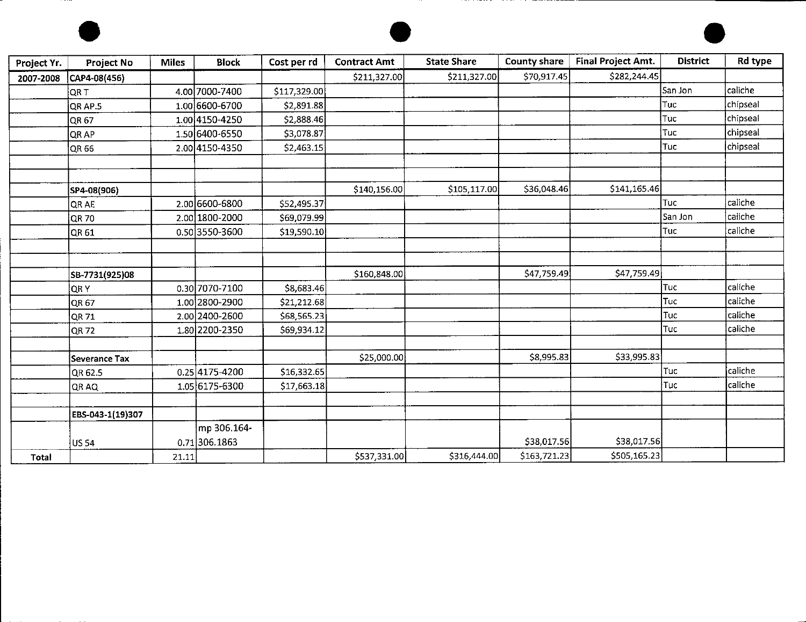





| Project Yr. | Project No       | <b>Miles</b> | <b>Block</b>     | Cost per rd  | <b>Contract Amt</b> | <b>State Share</b> | County share | Final Project Amt. | <b>District</b> | Rd type  |
|-------------|------------------|--------------|------------------|--------------|---------------------|--------------------|--------------|--------------------|-----------------|----------|
| 2007-2008   | CAP4-08(456)     |              |                  |              | \$211,327.00        | \$211,327.00       | \$70,917.45  | \$282,244.45       |                 |          |
|             | QR T             |              | 4.00 7000-7400   | \$117,329.00 |                     |                    |              |                    | San Jon         | caliche  |
|             | QR AP.5          |              | 1.00 6600-6700   | \$2,891.88   |                     |                    |              |                    | Tuc             | chipseal |
|             | QR 67            |              | 1.00 4150-4250   | \$2,888.46   |                     |                    |              |                    | Tuc             | chipseal |
|             | QR AP            |              | 1.50 6400-6550   | \$3,078.87   |                     |                    |              |                    | Tuc             | chipseal |
|             | QR 66            |              | 2.00 4150-4350   | \$2,463.15   |                     |                    |              |                    | Tuc             | chipseal |
|             |                  |              |                  |              |                     |                    |              |                    |                 |          |
|             |                  |              |                  |              |                     |                    |              |                    |                 |          |
|             | SP4-08(906)      |              |                  |              | \$140,156.00        | \$105,117.00       | \$36,048.46  | \$141,165.46       |                 |          |
|             | QR AE            |              | 2.00 6600-6800   | \$52,495.37  |                     |                    |              |                    | Tuc             | caliche  |
|             | <b>QR70</b>      |              | 2.00 1800-2000   | \$69,079.99  |                     |                    |              |                    | San Jon         | caliche  |
|             | QR 61            |              | 0.50 3550-3600   | \$19,590.10  |                     |                    |              |                    | Tuc             | caliche  |
|             |                  |              |                  |              |                     |                    |              |                    |                 |          |
|             |                  |              |                  |              |                     |                    |              |                    |                 |          |
|             | SB-7731(925)08   |              |                  |              | \$160,848.00        |                    | \$47,759.49  | \$47,759.49        |                 |          |
|             | QR Y             |              | 0.30 7070-7100   | \$8,683.46   |                     |                    |              |                    | Tuc             | caliche  |
|             | QR 67            |              | 1.00 2800-2900   | \$21,212.68  |                     |                    |              |                    | Tuc             | caliche  |
|             | QR 71            |              | 2.00 2400-2600   | \$68,565.23  |                     |                    |              |                    | Tuc             | caliche  |
|             | QR 72            |              | 1.80 2200-2350   | \$69,934.12  |                     |                    |              |                    | Tuc             | caliche  |
|             |                  |              |                  |              |                     |                    |              |                    |                 |          |
|             | Severance Tax    |              |                  |              | \$25,000.00         |                    | \$8,995.83   | \$33,995.83        |                 |          |
|             | QR 62.5          |              | $0.25 4175-4200$ | \$16,332.65  |                     |                    |              |                    | Tuc             | caliche  |
|             | QR AQ            |              | 1.05 6175-6300   | \$17,663.18  |                     |                    |              |                    | †Tuc            | caliche  |
|             |                  |              |                  |              |                     |                    |              |                    |                 |          |
|             | EBS-043-1(19)307 |              |                  |              |                     |                    |              |                    |                 |          |
|             |                  |              | mp 306.164-      |              |                     |                    |              |                    |                 |          |
|             | US 54            |              | 0.71306.1863     |              |                     |                    | \$38,017.56  | \$38,017.56        |                 |          |
| Total       |                  | 21.11        |                  |              | \$537,331.00        | \$316,444.00       | \$163,721.23 | \$505,165.23       |                 |          |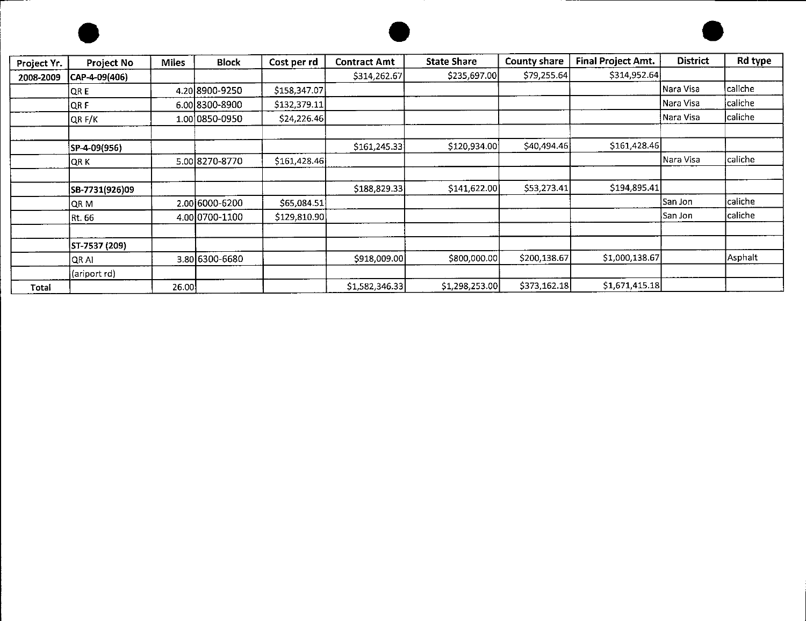

,-------





| Project Yr. | Project No     | <b>Miles</b> | <b>Block</b>   | Cost per rd  | <b>Contract Amt</b> | <b>State Share</b> | County share | Final Project Amt. | <b>District</b> | Rd type |
|-------------|----------------|--------------|----------------|--------------|---------------------|--------------------|--------------|--------------------|-----------------|---------|
| 2008-2009   | CAP-4-09(406)  |              |                |              | \$314,262.67        | \$235,697.00       | \$79,255.64  | \$314,952.64       |                 |         |
|             | QR E           |              | 4.20 8900-9250 | \$158,347.07 |                     |                    |              |                    | Nara Visa       | caliche |
|             | QR F           |              | 6.00 8300-8900 | \$132,379.11 |                     |                    |              |                    | lNara Visa      | caliche |
|             | QR F/K         |              | 1.00 0850-0950 | \$24,226.46  |                     |                    |              |                    | Nara Visa       | caliche |
|             |                |              |                |              |                     |                    |              |                    |                 |         |
|             | SP-4-09(956)   |              |                |              | \$161,245.33        | \$120,934.00       | \$40,494.46] | \$161,428.46       |                 |         |
|             | <b>ORK</b>     |              | 5.00 8270-8770 | \$161,428.46 |                     |                    |              |                    | Nara Visa       | caliche |
|             |                |              |                |              |                     |                    |              |                    |                 |         |
|             | SB-7731(926)09 |              |                |              | \$188,829.33        | \$141,622.00       | \$53,273.41  | \$194,895.41       |                 |         |
|             | QR M           |              | 2.00 6000-6200 | \$65,084.51  |                     |                    |              |                    | <b>San Jon</b>  | caliche |
|             | Rt. 66         |              | 4.00 0700-1100 | \$129,810.90 |                     |                    |              |                    | lSan Jon        | caliche |
|             |                |              |                |              |                     |                    |              |                    |                 |         |
|             | ST-7537 (209)  |              |                |              |                     |                    |              |                    |                 |         |
|             | QR AI          |              | 3.80 6300-6680 |              | \$918,009.00        | \$800,000.00       | \$200,138.67 | \$1,000,138.67     |                 | Asphalt |
|             | (ariport rd)   |              |                |              |                     |                    |              |                    |                 |         |
| Total       |                | 26.00        |                |              | \$1,582,346.33      | \$1,298,253.00     | \$373,162.18 | \$1,671,415.18     |                 |         |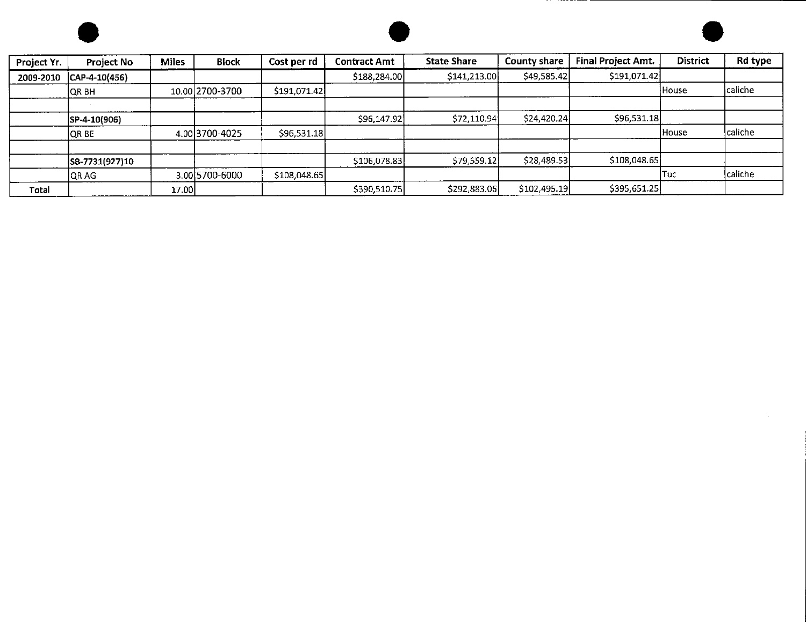





| Project Yr. | <b>Project No</b> | <b>Miles</b> | <b>Block</b>    | Cost per rd  | <b>Contract Amt</b> | <b>State Share</b> | County share | <b>Final Project Amt.</b> | District     | Rd type |
|-------------|-------------------|--------------|-----------------|--------------|---------------------|--------------------|--------------|---------------------------|--------------|---------|
| 2009-2010   | $ CAP-4-10(456) $ |              |                 |              | \$188,284.00        | \$141,213.00       | \$49,585.42  | \$191,071.42              |              |         |
|             | <b>OR BH</b>      |              | 10.00 2700-3700 | \$191,071.42 |                     |                    |              |                           | House        | caliche |
|             |                   |              |                 |              |                     |                    |              |                           |              |         |
|             | SP-4-10(906)      |              |                 |              | \$96,147.92         | \$72,110.94        | \$24,420.24  | \$96,531.18               |              |         |
|             | <b>QR BE</b>      |              | 4.00 3700-4025  | \$96,531.18  |                     |                    |              |                           | <b>House</b> | caliche |
|             |                   |              |                 |              |                     |                    |              |                           |              |         |
|             | SB-7731(927)10    |              |                 |              | \$106,078.83        | \$79,559.12        | \$28,489.53  | \$108,048.65              |              |         |
|             | QR AG             |              | 3.00 5700-6000  | \$108,048.65 |                     |                    |              |                           | lTuc.        | caliche |
| Total       |                   | 17.00        |                 |              | \$390,510.75        | \$292,883.06       | \$102,495.19 | \$395,651.25              |              |         |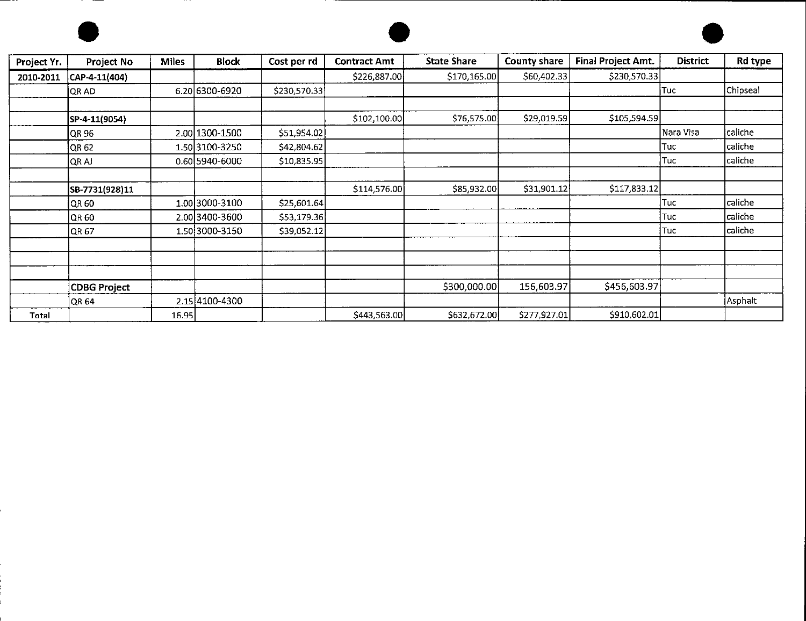





| Project Yr. | Project No          | <b>Miles</b> | <b>Block</b>   | Cost per rd  | <b>Contract Amt</b> | <b>State Share</b> | County share | Final Project Amt. | <b>District</b> | Rd type  |
|-------------|---------------------|--------------|----------------|--------------|---------------------|--------------------|--------------|--------------------|-----------------|----------|
| 2010-2011   | CAP-4-11(404)       |              |                |              | \$226,887.00        | \$170,165.00       | \$60,402.33  | \$230,570.33       |                 |          |
|             | <b>QRAD</b>         |              | 6.20 6300-6920 | \$230,570.33 |                     |                    |              |                    | Tuc             | Chipseal |
|             | SP-4-11(9054)       |              |                |              | \$102,100.00        | \$76,575.00        | \$29,019.59  | \$105,594.59       |                 |          |
|             | OR 96               |              | 2.00 1300-1500 | \$51,954.02  |                     |                    |              |                    | Nara Visa       | caliche  |
|             | QR 62               |              | 1.50 3100-3250 | \$42,804.62  |                     |                    |              |                    | Tuc             | caliche  |
|             | QR AJ               |              | 0.60 5940-6000 | \$10,835.95  |                     |                    |              |                    | Tuc             | caliche  |
|             | SB-7731(928)11      |              |                |              | \$114,576.00        | \$85,932.00        | \$31,901.12  | \$117,833.12       |                 |          |
|             | QR 60               |              | 1.00 3000-3100 | \$25,601.64  |                     |                    |              |                    | Tuc             | caliche  |
|             | QR 60               |              | 2.00 3400-3600 | \$53,179.36  |                     |                    |              |                    | Tuc             | caliche  |
|             | QR 67               |              | 1.50 3000-3150 | \$39,052.12  |                     |                    |              |                    | Tuc             | caliche  |
|             |                     |              |                |              |                     |                    |              |                    |                 |          |
|             |                     |              |                |              |                     |                    |              |                    |                 |          |
|             | <b>CDBG Project</b> |              |                |              |                     | \$300,000.00       | 156,603.97   | \$456,603.97       |                 |          |
|             | QR 64               |              | 2.15 4100-4300 |              |                     |                    |              |                    |                 | Asphalt  |
| Total       |                     | 16.95        |                |              | \$443,563.00        | \$632,672.00       | \$277,927.01 | \$910,602.01       |                 |          |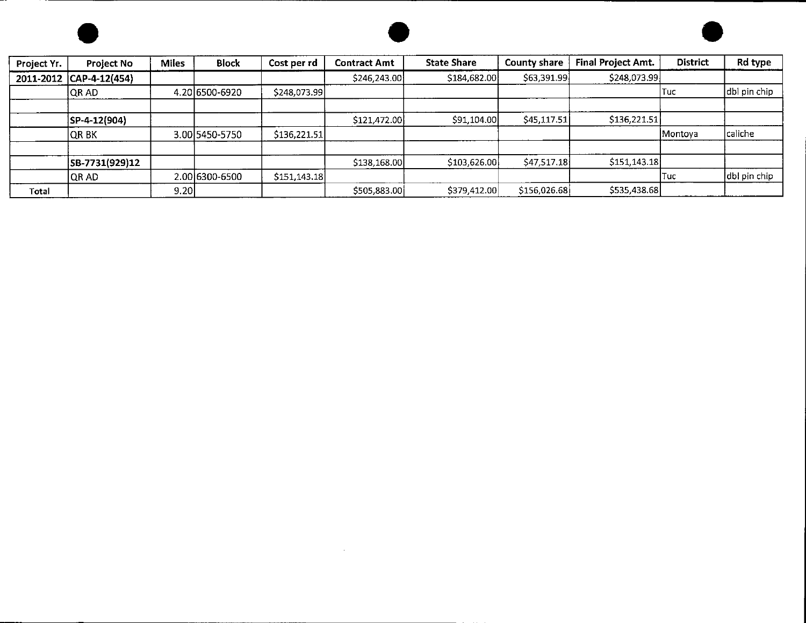



----

-----------



| Project Yr. | <b>Project No</b> | <b>Miles</b> | <b>Block</b>   | Cost per rd   | <b>Contract Amt</b> | <b>State Share</b> | <b>County share</b> | Final Project Amt. | <b>District</b> | Rd type      |
|-------------|-------------------|--------------|----------------|---------------|---------------------|--------------------|---------------------|--------------------|-----------------|--------------|
| 2011-2012   | $ CAP-4-12(454) $ |              |                |               | \$246,243.00        | \$184,682.00       | \$63,391.99]        | \$248,073.99       |                 |              |
|             | <b>QRAD</b>       |              | 4.20 6500-6920 | \$248,073.99  |                     |                    |                     |                    | Tuc             | dbl pin chip |
|             | SP-4-12(904)      |              |                |               | \$121,472.00        | \$91,104.00        | \$45,117.51         | \$136,221.51       |                 |              |
|             | QR B K            |              | 3.00 5450-5750 | \$136,221.51  |                     |                    |                     |                    | Montoya         | caliche      |
|             |                   |              |                |               |                     |                    |                     |                    |                 |              |
|             | SB-7731(929)12    |              |                |               | \$138,168.00        | \$103,626.00       | \$47,517.18         | \$151,143.18       |                 |              |
|             | <b>QRAD</b>       |              | 2.00 6300-6500 | \$151,143.18] |                     |                    |                     |                    | Tuc             | dbl pin chip |
| Total       |                   | 9.20         |                |               | \$505,883.00        | \$379,412.00       | \$156,026.68        | \$535,438.68       |                 |              |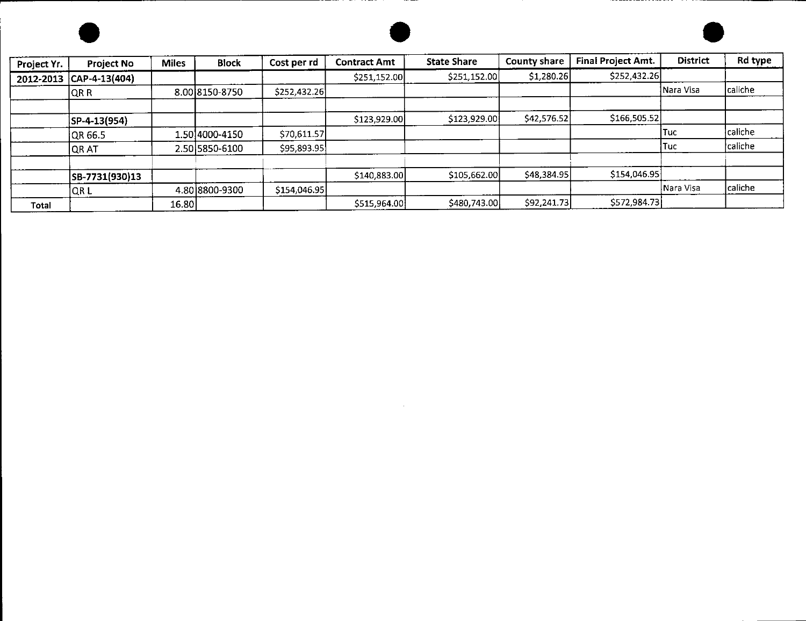





| Project Yr. | Project No        | <b>Miles</b> | <b>Block</b>   | Cost per rd  | <b>Contract Amt</b> | <b>State Share</b> | County share | Final Project Amt. | <b>District</b> | Rd type |
|-------------|-------------------|--------------|----------------|--------------|---------------------|--------------------|--------------|--------------------|-----------------|---------|
| 2012-2013   | $ CAP-4-13(404) $ |              |                |              | \$251,152.00        | \$251,152.00       | \$1,280.26   | \$252,432.26       |                 |         |
|             | <b>QRR</b>        |              | 8.00 8150-8750 | \$252,432.26 |                     |                    |              |                    | Nara Visa       | caliche |
|             |                   |              |                |              |                     |                    |              |                    |                 |         |
|             | SP-4-13(954)      |              |                |              | \$123,929.00        | \$123,929.00       | \$42,576.52  | \$166,505.52       |                 |         |
|             | QR 66.5           |              | 1.50 4000-4150 | \$70,611.57  |                     |                    |              |                    | Tuc             | caliche |
|             | <b>QRAT</b>       |              | 2.50 5850-6100 | \$95,893.95  |                     |                    |              |                    | Tuc             | caliche |
|             |                   |              |                |              |                     |                    |              |                    |                 |         |
|             | SB-7731(930)13    |              |                |              | \$140,883.00        | \$105,662.00       | \$48,384.95  | \$154,046.95]      |                 |         |
|             | QR L              |              | 4.80 8800-9300 | \$154,046.95 |                     |                    |              |                    | Nara Visa       | caliche |
| Total       |                   | 16.80        |                |              | \$515,964.00        | \$480,743.00       | \$92,241.73  | \$572,984.73       |                 |         |

 $\mathcal{L}(\mathcal{L}^{\mathcal{L}})$  and  $\mathcal{L}(\mathcal{L}^{\mathcal{L}})$  and  $\mathcal{L}(\mathcal{L}^{\mathcal{L}})$  and  $\mathcal{L}(\mathcal{L}^{\mathcal{L}})$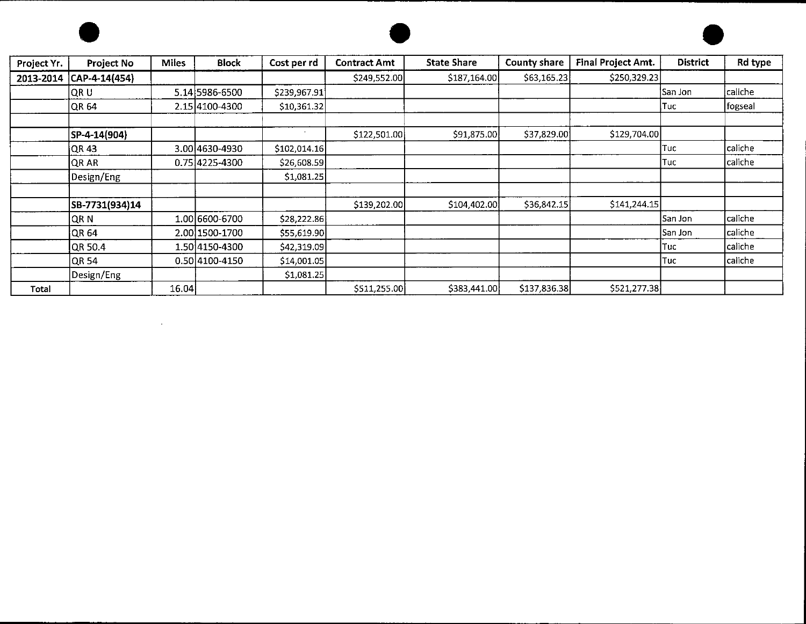

 $\label{eq:2.1} \frac{1}{\sqrt{2}}\int_{\mathbb{R}^3}\frac{1}{\sqrt{2}}\left(\frac{1}{\sqrt{2}}\right)^2\frac{1}{\sqrt{2}}\left(\frac{1}{\sqrt{2}}\right)^2\frac{1}{\sqrt{2}}\left(\frac{1}{\sqrt{2}}\right)^2\frac{1}{\sqrt{2}}\left(\frac{1}{\sqrt{2}}\right)^2.$ 





| Project Yr. | Project No     | <b>Miles</b> | <b>Block</b>   | Cost per rd  | <b>Contract Amt</b> | <b>State Share</b> | <b>County share</b> | Final Project Amt. | <b>District</b> | Rd type |
|-------------|----------------|--------------|----------------|--------------|---------------------|--------------------|---------------------|--------------------|-----------------|---------|
| 2013-2014   | CAP-4-14(454)  |              |                |              | \$249,552.00        | \$187,164.00       | \$63,165.23         | \$250,329.23       |                 |         |
|             | ∣QR U          |              | 5.14 5986-6500 | \$239,967.91 |                     |                    |                     |                    | San Jon         | caliche |
|             | QR64           |              | 2.15 4100-4300 | \$10,361.32  |                     |                    |                     |                    | Tuc             | fogseal |
|             |                |              |                |              |                     |                    |                     |                    |                 |         |
|             | SP-4-14(904)   |              |                | $\mathbf{r}$ | \$122,501.00        | \$91,875.00        | \$37,829.00         | \$129,704.00       |                 |         |
|             | QR 43          |              | 3.00 4630-4930 | \$102,014.16 |                     |                    |                     |                    | Tuc             | caliche |
|             | QR AR          |              | 0.75 4225-4300 | \$26,608.59  |                     |                    |                     |                    | Tuc             | caliche |
|             | Design/Eng     |              |                | \$1,081.25   |                     |                    |                     |                    |                 |         |
|             |                |              |                |              |                     |                    |                     |                    |                 |         |
|             | SB-7731(934)14 |              |                |              | \$139,202.00        | \$104,402.00       | \$36,842.15         | \$141,244.15       |                 |         |
|             | ∣QR N          |              | 1.00 6600-6700 | \$28,222.86  |                     |                    |                     |                    | San Jon         | caliche |
|             | QR64           |              | 2.00 1500-1700 | \$55,619.90  |                     |                    |                     |                    | San Jon         | caliche |
|             | <b>QR 50.4</b> |              | 1.50 4150-4300 | \$42,319.09  |                     |                    |                     |                    | Tuc             | caliche |
|             | QR 54          |              | 0.50 4100-4150 | \$14,001.05  |                     |                    |                     |                    | Tuc             | caliche |
|             | Design/Eng     |              |                | \$1,081.25   |                     |                    |                     |                    |                 |         |
| Total       |                | 16.04        |                |              | \$511,255.00        | \$383,441.00       | \$137,836.38        | \$521,277.38       |                 |         |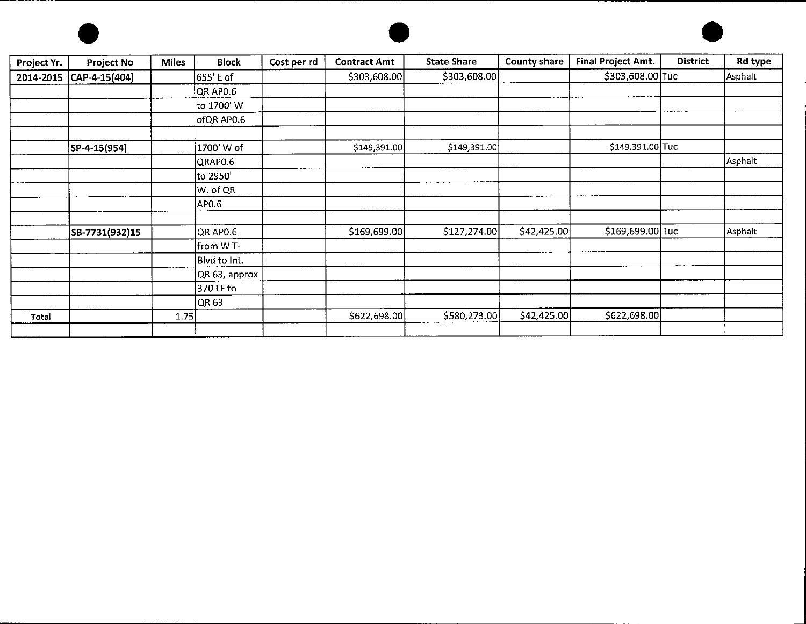





| Project Yr. | Project No        | <b>Miles</b> | <b>Block</b>  | Cost per rd | <b>Contract Amt</b> | <b>State Share</b> | <b>County share</b> | <b>Final Project Amt.</b> | <b>District</b> | Rd type |
|-------------|-------------------|--------------|---------------|-------------|---------------------|--------------------|---------------------|---------------------------|-----------------|---------|
| 2014-2015   | $ CAP-4-15(404) $ |              | 655' E of     |             | \$303,608.00        | \$303,608.00       |                     | \$303,608.00 Tuc          |                 | Asphalt |
|             |                   |              | QR APO.6      |             |                     |                    |                     |                           |                 |         |
|             |                   |              | to 1700' W    |             |                     |                    |                     |                           |                 |         |
|             |                   |              | ofQR AP0.6    |             |                     |                    |                     |                           |                 |         |
|             |                   |              |               |             |                     |                    |                     |                           |                 |         |
|             | SP-4-15(954)      |              | 1700' W of    |             | \$149,391.00        | \$149,391.00       |                     | \$149,391.00 Tuc          |                 |         |
|             |                   |              | QRAP0.6       |             |                     |                    |                     |                           |                 | Asphalt |
|             |                   |              | to 2950       |             |                     |                    |                     |                           |                 |         |
|             |                   |              | W. of QR      |             |                     |                    |                     |                           |                 |         |
|             |                   |              | APO.6         |             |                     |                    |                     |                           |                 |         |
|             |                   |              |               |             |                     |                    |                     |                           |                 |         |
|             | SB-7731(932)15    |              | QR APO.6      |             | \$169,699.00        | \$127,274.00       | \$42,425.00         | \$169,699.00 Tuc          |                 | Asphalt |
|             |                   |              | from W T-     |             |                     |                    |                     |                           |                 |         |
|             |                   |              | Blvd to Int.  |             |                     |                    |                     |                           |                 |         |
|             |                   |              | QR 63, approx |             |                     |                    |                     |                           |                 |         |
|             |                   |              | 370 LF to     |             |                     |                    |                     |                           |                 |         |
|             |                   |              | OR 63         |             |                     |                    |                     |                           |                 |         |
| Total       |                   | 1.75         |               |             | \$622,698.00        | \$580,273.00       | \$42,425.00         | \$622,698.00              |                 |         |
|             |                   |              |               |             |                     |                    |                     |                           |                 |         |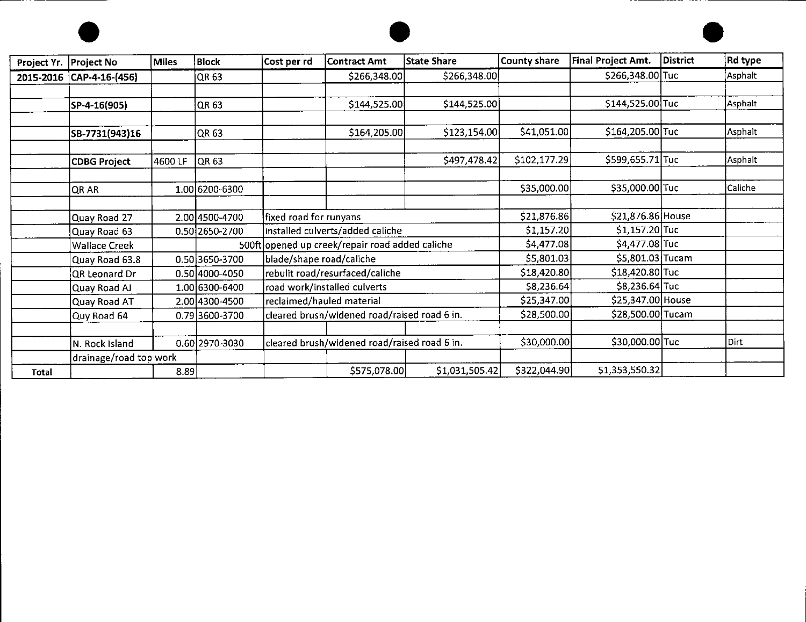





| Project Yr. | Project No                           | <b>Miles</b> | Block                            | Cost per rd               | Contract Amt                                                                        | State Share    | <b>County share</b>        | Final Project Amt.                       | District | Rd type |
|-------------|--------------------------------------|--------------|----------------------------------|---------------------------|-------------------------------------------------------------------------------------|----------------|----------------------------|------------------------------------------|----------|---------|
| 2015-2016   | CAP-4-16-(456)                       |              | QR 63                            |                           | \$266,348.00                                                                        | \$266,348.00   |                            | \$266,348.00 Tuc                         |          | Asphalt |
|             | SP-4-16(905)                         |              | QR 63                            |                           | \$144,525.00                                                                        | \$144,525.00   |                            | \$144,525.00 Tuc                         |          | Asphalt |
|             | SB-7731(943)16                       |              | QR 63                            |                           | \$164,205.00                                                                        | \$123,154.00   | \$41,051.00                | \$164,205.00 Tuc                         |          | Asphalt |
|             | <b>CDBG Project</b>                  | 4600 LF      | QR 63                            |                           |                                                                                     | \$497,478.42   | \$102,177.29               | \$599,655.71 Tuc                         |          | Asphalt |
|             | QR AR                                |              | 1.00 6200-6300                   |                           |                                                                                     |                | \$35,000.00                | \$35,000.00 Tuc                          |          | Caliche |
|             | Quay Road 27                         |              | 2.00 4500-4700                   | fixed road for runyans    |                                                                                     |                | \$21,876.86                | \$21,876.86 House<br>\$1,157.20 Tuc      |          |         |
|             | Quay Road 63<br><b>Wallace Creek</b> |              | 0.50 2650-2700                   |                           | installed culverts/added caliche<br>500ft opened up creek/repair road added caliche |                | \$1,157.20<br>\$4,477.08   | \$4,477.08 Tuc                           |          |         |
|             | Quay Road 63.8<br>QR Leonard Dr      |              | 0.50 3650-3700<br>0.50 4000-4050 | blade/shape road/caliche  | rebulit road/resurfaced/caliche                                                     |                | \$5,801.03<br>\$18,420.80  | \$5,801.03 Tucam<br>\$18,420.80 Tuc      |          |         |
|             | Quay Road AJ                         |              | 1.00 6300-6400                   |                           | road work/installed culverts                                                        |                | \$8,236.64                 | \$8,236.64 Tuc                           |          |         |
|             | Quay Road AT                         |              | 2.00 4300-4500                   | reclaimed/hauled material | cleared brush/widened road/raised road 6 in.                                        |                | \$25,347.00<br>\$28,500.00 | \$25,347.00   House<br>\$28,500.00 Tucam |          |         |
|             | Quy Road 64                          |              | 0.79 3600-3700                   |                           |                                                                                     |                |                            |                                          |          |         |
|             | N. Rock Island                       |              | 0.60 2970-3030                   |                           | cleared brush/widened road/raised road 6 in.                                        |                | \$30,000.00                | \$30,000.00 Tuc                          |          | Dirt    |
|             | drainage/road top work               |              |                                  |                           |                                                                                     |                |                            |                                          |          |         |
| Total       |                                      | 8.89         |                                  |                           | \$575,078.00                                                                        | \$1,031,505.42 | \$322,044.90               | \$1,353,550.32                           |          |         |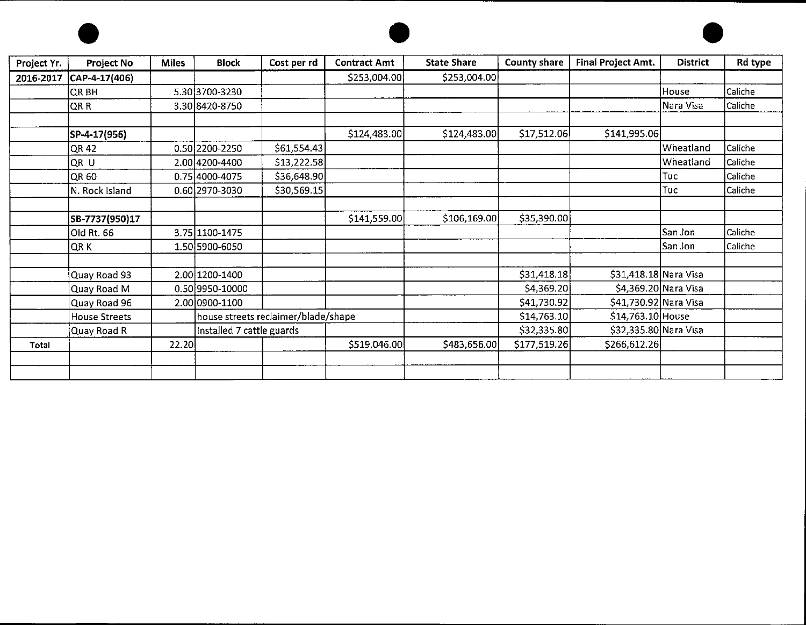





| Project Yr. | Project No      | <b>Miles</b> | <b>Block</b>              | Cost per rd                         | <b>Contract Amt</b> | <b>State Share</b> | <b>County share</b> | <b>Final Project Amt.</b> | <b>District</b> | Rd type |
|-------------|-----------------|--------------|---------------------------|-------------------------------------|---------------------|--------------------|---------------------|---------------------------|-----------------|---------|
| 2016-2017   | CAP-4-17(406)   |              |                           |                                     | \$253,004.00        | \$253,004.00       |                     |                           |                 |         |
|             | QR BH           |              | 5.30 3700-3230            |                                     |                     |                    |                     |                           | House           | Caliche |
|             | QR <sub>R</sub> |              | 3.30 8420-8750            |                                     |                     |                    |                     |                           | Nara Visa       | Caliche |
|             | SP-4-17(956)    |              |                           |                                     | \$124,483.00        | \$124,483.00       | \$17,512.06         | \$141,995.06              |                 |         |
|             | QR 42           |              | 0.50 2200-2250            | \$61,554.43                         |                     |                    |                     |                           | Wheatland       | Caliche |
|             | QR ∪            |              | 2.00 4200-4400            | \$13,222.58                         |                     |                    |                     |                           | Wheatland       | Caliche |
|             | QR 60           |              | 0.75 4000-4075            | \$36,648.90                         |                     |                    |                     |                           | Tuc             | Caliche |
|             | N. Rock Island  |              | 0.60 2970-3030            | \$30,569.15                         |                     |                    |                     |                           | Tuc             | Caliche |
|             | SB-7737(950)17  |              |                           |                                     | \$141,559.00        | \$106,169.00       | \$35,390.00         |                           |                 |         |
|             | Old Rt. 66      |              | 3.75 1100-1475            |                                     |                     |                    |                     |                           | San Jon         | Caliche |
|             | QR K            |              | 1.50 5900-6050            |                                     |                     |                    |                     |                           | San Jon         | Caliche |
|             | Quay Road 93    |              | 2.00 1200-1400            |                                     |                     |                    | \$31,418.18         | \$31,418.18 Nara Visa     |                 |         |
|             | Quay Road M     |              | 0.50 9950-10000           |                                     |                     |                    | \$4,369.20          | \$4,369.20 Nara Visa      |                 |         |
|             | Quay Road 96    |              | 2.00 0900-1100            |                                     |                     |                    | \$41,730.92         | \$41,730.92 Nara Visa     |                 |         |
|             | House Streets   |              |                           | house streets reclaimer/blade/shape |                     |                    | \$14,763.10         | \$14,763.10 House         |                 |         |
|             | Quay Road R     |              | Installed 7 cattle guards |                                     |                     |                    | \$32,335.80         | \$32,335.80 Nara Visa     |                 |         |
| Total       |                 | 22.20        |                           |                                     | \$519,046.00        | \$483,656.00       | \$177,519.26        | \$266,612.26              |                 |         |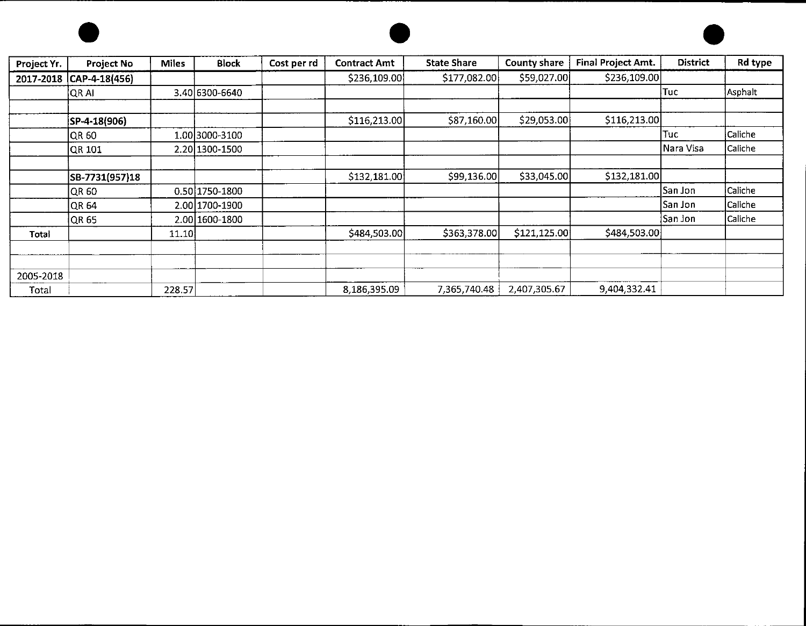





| Project Yr. | <b>Project No</b> | <b>Miles</b> | <b>Block</b>   | Cost per rd | <b>Contract Amt</b> | <b>State Share</b> | County share | <b>Final Project Amt.</b> | <b>District</b> | Rd type |
|-------------|-------------------|--------------|----------------|-------------|---------------------|--------------------|--------------|---------------------------|-----------------|---------|
| 2017-2018   | CAP-4-18(456)     |              |                |             | \$236,109.00        | \$177,082.00       | \$59,027.00  | \$236,109.00              |                 |         |
|             | QR AI             |              | 3.40 6300-6640 |             |                     |                    |              |                           | Tuc             | Asphalt |
|             |                   |              |                |             |                     |                    |              |                           |                 |         |
|             | SP-4-18(906)      |              |                |             | \$116,213.00        | \$87,160.00        | \$29,053.00  | \$116,213.00              |                 |         |
|             | QR 60             |              | 1.00 3000-3100 |             |                     |                    |              |                           | Tucl            | Caliche |
|             | QR 101            |              | 2.20 1300-1500 |             |                     |                    |              |                           | Nara Visa       | Caliche |
|             |                   |              |                |             |                     |                    |              |                           |                 |         |
|             | SB-7731(957)18    |              |                |             | \$132,181.00        | \$99,136.00        | \$33,045.00  | \$132,181.00              |                 |         |
|             | QR 60             |              | 0.50 1750-1800 |             |                     |                    |              |                           | San Jon         | Caliche |
|             | QR 64             |              | 2.00 1700-1900 |             |                     |                    |              |                           | San Jon         | Caliche |
|             | QR 65             |              | 2.00 1600-1800 |             |                     |                    |              |                           | San Jon         | Caliche |
| Total       |                   | 11.10        |                |             | \$484,503.00        | \$363,378.00       | \$121,125.00 | \$484,503.00              |                 |         |
|             |                   |              |                |             |                     |                    |              |                           |                 |         |
|             |                   |              |                |             |                     |                    |              |                           |                 |         |
| 2005-2018   |                   |              |                |             |                     |                    |              |                           |                 |         |
| Total       |                   | 228.57       |                |             | 8,186,395.09        | 7,365,740.48       | 2,407,305.67 | 9,404,332.41              |                 |         |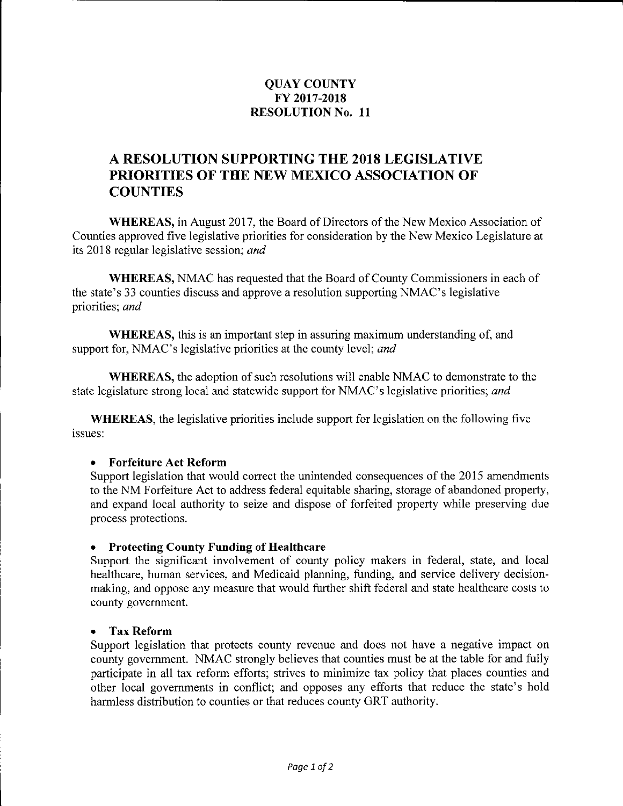## **QUAY COUNTY FY 2017-2018 RESOLUTION No. 11**

# **A RESOLUTION SUPPORTING THE 2018 LEGISLATIVE PRIORITIES OF THE NEW MEXICO ASSOCIATION OF COUNTIES**

**WHEREAS,** in August 2017, the Board of Directors of the New Mexico Association of Counties approved five legislative priorities for consideration by the New Mexico Legislature at its 2018 regular legislative session; *and* 

**WHEREAS,** NMAC has requested that the Board of County Commissioners in each of the state's 33 counties discuss and approve a resolution supporting NMAC's legislative priorities; *and* 

**WHEREAS,** this is an important step in assuring maximum understanding of, and support for, NMAC's legislative priorities at the county level; *and* 

**WHEREAS,** the adoption of such resolutions will enable NMAC to demonstrate to the state legislature strong local and statewide support for NMAC's legislative priorities; *and* 

**WHEREAS,** the legislative priorities include support for legislation on the following five issues:

### • **Forfeiture Act Reform**

Support legislation that would correct the unintended consequences of the 2015 amendments to the NM Forfeiture Act to address federal equitable sharing, storage of abandoned property, and expand local authority to seize and dispose of forfeited property while preserving due process protections.

### • **Protecting County Funding of Healthcare**

Support the significant involvement of county policy makers in federal, state, and local healthcare, human services, and Medicaid planning, funding, and service delivery decisionmaking, and oppose any measure that would further shift federal and state healthcare costs to county government.

### • **Tax Reform**

Support legislation that protects county revenue and does not have a negative impact on county government. NMAC strongly believes that counties must be at the table for and fully participate in all tax reform efforts; strives to minimize tax policy that places counties and other local governments in conflict; and opposes any efforts that reduce the state's hold harmless distribution to counties or that reduces county GRT authority.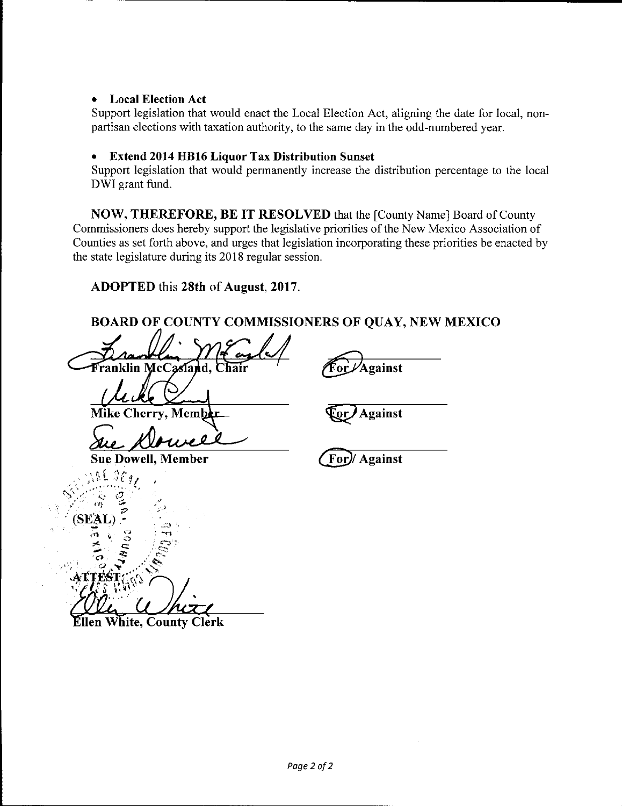## • **Local Election Act**

Support legislation that would enact the Local Election Act, aligning the date for local, nonpartisan elections with taxation authority, to the same day in the odd-numbered year.

## • **Extend 2014 HB16 Liquor Tax Distribution Sunset**

Support legislation that would permanently increase the distribution percentage to the local DWI grant fund.

**NOW, THEREFORE, BE IT RESOLVED** that the [County Name] Board of County Commissioners does hereby support the legislative priorities of the New Mexico Association of Counties as set forth above, and urges that legislation incorporating these priorities be enacted by the state legislature during its 2018 regular session.

**ADOPTED** this **28th of August, 2017.** 

**BOARD OF COUNTY COMMISSIONERS OF QUAY, NEW MEXICO** 

Franklin McCasland. **~Against**  Mike Cherry, Member<br>Luc **Alouvel ~Against**  @1 **Against**  Ellen White, County Clerk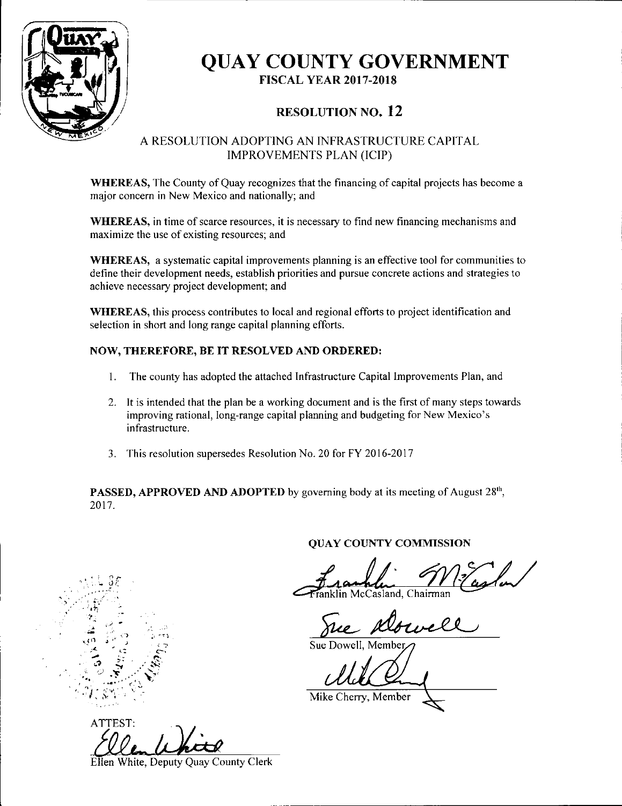

) .·

 $, \cdot, \cdot$ ,,

 $\frac{2}{10}$ 

 $\mathcal{L}=\mathcal{E}^{\prime}_{\mathcal{L}}\oplus\mathcal{E}^{\prime}_{\mathcal{L}}$ **1,.? "":1** .·'...:,~·

# **QUAY COUNTY GOVERNMENT FISCAL YEAR 2017-2018**

# **RESOLUTION NO. 12**

## A RESOLUTION ADOPTING AN INFRASTRUCTURE CAPITAL IMPROVEMENTS PLAN (ICIP)

**WHEREAS,** The County of Quay recognizes that the financing of capital projects has become a major concern in New Mexico and nationally; and

**WHEREAS,** in time of scarce resources, it is necessary to find new financing mechanisms and maximize the use of existing resources; and

**WHEREAS,** a systematic capital improvements planning is an effective tool for communities to define their development needs, establish priorities and pursue concrete actions and strategies to achieve necessary project development; and

**WHEREAS,** this process contributes to local and regional efforts to project identification and selection in short and long range capital planning efforts.

### **NOW, THEREFORE, BE IT RESOLVED AND ORDERED:**

- I. The county has adopted the attached Infrastructure Capital Improvements Plan, and
- 2. It is intended that the plan be a working document and is the first of many steps towards improving rational, long-range capital planning and budgeting for New Mexico's infrastructure.
- 3. This resolution supersedes Resolution No. 20 for FY 2016-2017

**PASSED, APPROVED AND ADOPTED** by governing body at its meeting of August 28<sup>th</sup>, 2017.

### **QUAY COUNTY COMMISSION**

 $\mathcal{I}$ **~4-1L·**  Mccasland, Chairman  $m$   $\frac{1}{2}$   $\frac{1}{2}$   $\frac{1}{2}$   $\frac{1}{2}$   $\frac{1}{2}$   $\frac{1}{2}$   $\frac{1}{2}$   $\frac{1}{2}$   $\frac{1}{2}$   $\frac{1}{2}$   $\frac{1}{2}$   $\frac{1}{2}$   $\frac{1}{2}$   $\frac{1}{2}$   $\frac{1}{2}$   $\frac{1}{2}$   $\frac{1}{2}$   $\frac{1}{2}$   $\frac{1}{2}$   $\frac{1}{2}$   $\frac{1}{2}$   $\frac{1}{2$ 

Dowell

Sue Dowell, Member

*, ...* ) **...** *,... ... ,... ... ... ... ... ... ... ... ... ... ... ... ... ... ... ... ... ... ... ... ... ... ... ... ... ... ... ... ... ... ... ... ...* 

ATTEST:

Ellen White, Deputy Quay County Clerk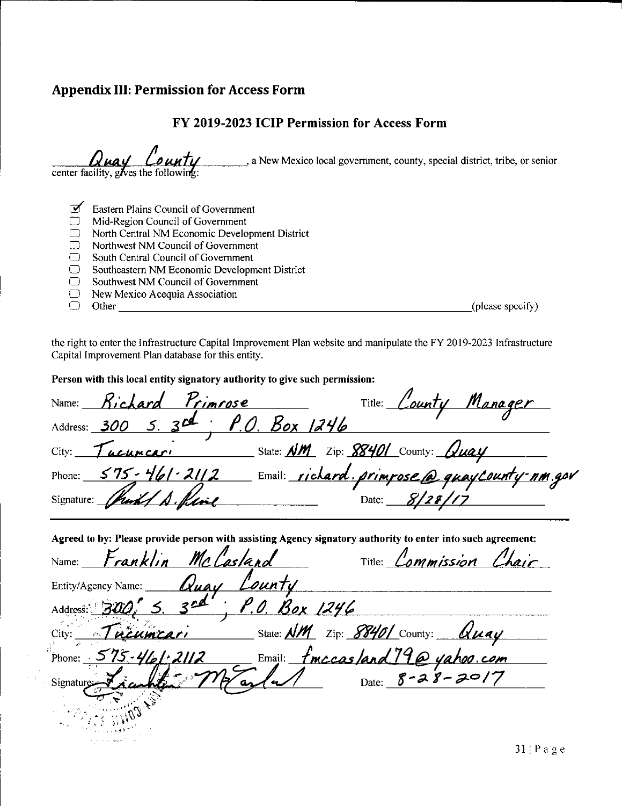## **Appendix** III: **Permission for Access Form**

## **FY 2019-2023 ICIP Permission for Access Form**

|   | County<br>center facility, gives the following:<br>, a New Mexico local government, county, special district, tribe, or senior |
|---|--------------------------------------------------------------------------------------------------------------------------------|
|   |                                                                                                                                |
| ᢦ | Eastern Plains Council of Government                                                                                           |
|   | Mid-Region Council of Government                                                                                               |
|   | North Central NM Economic Development District                                                                                 |

- 
- $\Box$  Northwest NM Council of Government<br> $\Box$  South Central Council of Government
- $\Box$  South Central Council of Government<br>  $\Box$  Southeastern NM Economic Developm  $\Box$  Southeastern NM Economic Development District  $\Box$  Southwest NM Council of Government
- 
- $\Box$  Southwest NM Council of Government<br> $\Box$  New Mexico Acequia Association D New Mexico Acequia Association D Other \_\_\_\_\_\_\_\_\_\_\_\_\_\_\_\_\_\_\_\_\_\_\_\_\_\_\_ (please specify)
- 

the right to enter the Infrastructure Capital Improvement Plan website and manipulate the FY 2019-2023 Infrastructure Capital Improvement Plan database for this entity.

**Person with this local entity signatory authority to give such permission:** 

Name: **8, ·cJ.** *a rd ?,.,,,, rose* Title: *-----<~......,\_4.,,1.1.irfi.Lf.¥'u \_* **\_\_L/lf-'--'-"a'-'n"'(J\_""i4~e,c-r,\_\_\_**  Title: *Lounty Manager*<br>78401 County: *Quay* Address: 300 5. 3<sup>cd</sup>; P.O. Box 1246 City: *Tucumcari* State: <u>NM</u> Zip: <u>88401</u> County: <u>1</u> Phone: <u>575 - 461 - 2112</u> Email: *richard. primpose @ quayCounty-nm.gov*<br>Signature: *(huild A. Raine* Pate: *8/28/17* 

Agreed to by: Please provide person with assisting Agency signatory authority to enter into such agreement:

| Name: Franklin McCasland            |               |                                                               | Title: <i>Lommission Chair</i> |
|-------------------------------------|---------------|---------------------------------------------------------------|--------------------------------|
| Cluay Lounty<br>Entity/Agency Name: |               |                                                               |                                |
| Address: 300, 5. 3nd                | P.O. Box 1246 |                                                               |                                |
| City: Tucumcari                     |               | State: <u>NM</u> Zip: 88401 County: Uuay                      |                                |
| Phone: $575 - 461 - 2112$           |               |                                                               |                                |
| Signature                           |               | Email: <u>fmccas/and 190 yahoo.com</u><br>(u/ Date: 8-28-2017 |                                |
|                                     |               |                                                               |                                |
|                                     |               |                                                               |                                |
|                                     |               |                                                               |                                |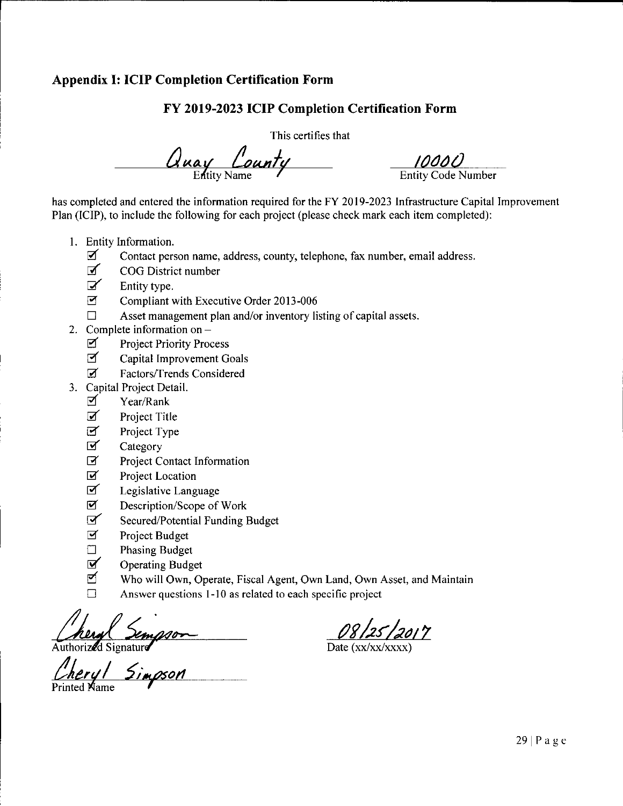## **Appendix I: ICIP Completion Certification Form**

## **FY 2019-2023 ICIP Completion Certification Form**

This certifies that

 $\frac{U_{\text{way}}}{E_{\text{Hity Name}}}$   $\frac{10000}{E_{\text{Hity Code N}}}$ 

Entity Code Number

has completed and entered the information required for the FY 2019-2023 Infrastructure Capital Improvement Plan (ICIP), to include the following for each project (please check mark each item completed):

- I. Entity Information.
	- $\boldsymbol{\mathcal{I}}$  Contact person name, address, county, telephone, fax number, email address.
	- **I** COG District number
	- $\mathbf{z}'$  Entity type.
	- Compliant with Executive Order 2013-006
	- $\Box$  Asset management plan and/or inventory listing of capital assets.
- 2. Complete information on  $-$ 
	- **I** Project Priority Process
	- **M** Capital Improvement Goals
	- @' Factors/Trends Considered
- 3. Capital Project Detail.
	- $\triangledown$  Year/Rank
	- $\triangledown$  Project Title
	- Project Type  $\boldsymbol{\beta}$
	- Category &'
	- Project Contact Information  $\overline{3}'$
	- Project Location @'
	- Legislative Language &'
	- Description/Scope of Work  $\mathbf Z$
	- Secured/Potential Funding Budget ~
	- Project Budget  $\overline{\mathbf{z}}$
	- Phasing Budget  $\Box$
	- Operating Budget  $\overline{M}$
	- Who will Own, Operate, Fiscal Agent, Own Land, Own Asset, and Maintain
	- $\Box$  Answer questions 1-10 as related to each specific project

heryl Sempson<br>orized Signature<br>eryl Simpson

Printed